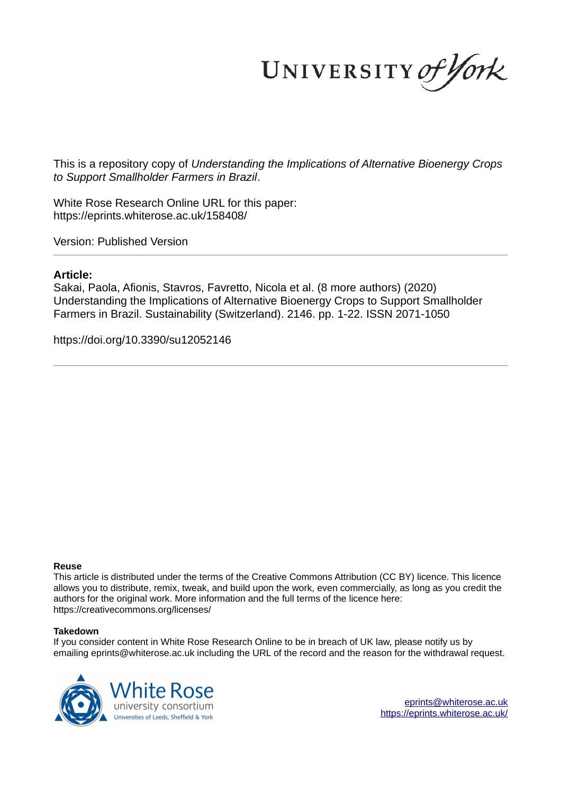UNIVERSITY of York

This is a repository copy of *Understanding the Implications of Alternative Bioenergy Crops to Support Smallholder Farmers in Brazil*.

White Rose Research Online URL for this paper: https://eprints.whiterose.ac.uk/158408/

Version: Published Version

# **Article:**

Sakai, Paola, Afionis, Stavros, Favretto, Nicola et al. (8 more authors) (2020) Understanding the Implications of Alternative Bioenergy Crops to Support Smallholder Farmers in Brazil. Sustainability (Switzerland). 2146. pp. 1-22. ISSN 2071-1050

https://doi.org/10.3390/su12052146

# **Reuse**

This article is distributed under the terms of the Creative Commons Attribution (CC BY) licence. This licence allows you to distribute, remix, tweak, and build upon the work, even commercially, as long as you credit the authors for the original work. More information and the full terms of the licence here: https://creativecommons.org/licenses/

# **Takedown**

If you consider content in White Rose Research Online to be in breach of UK law, please notify us by emailing eprints@whiterose.ac.uk including the URL of the record and the reason for the withdrawal request.

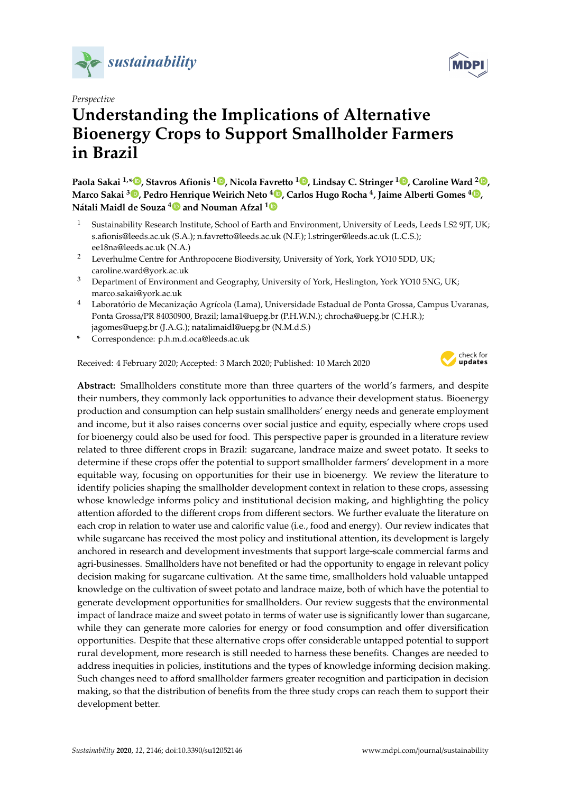



# **Understanding the Implications of Alternative Bioenergy Crops to Support Smallholder Farmers in Brazil**

**Paola Sakai 1,\* , Stavros Afionis <sup>1</sup> , Nicola Favretto <sup>1</sup> , Lindsay C. Stringer <sup>1</sup> , Caroline Ward <sup>2</sup> , Marco Sakai <sup>3</sup> , Pedro Henrique Weirich Neto <sup>4</sup> , Carlos Hugo Rocha <sup>4</sup> , Jaime Alberti Gomes <sup>4</sup> , Nátali Maidl de Souza <sup>4</sup> and Nouman Afzal <sup>1</sup>**

- Sustainability Research Institute, School of Earth and Environment, University of Leeds, Leeds LS2 9JT, UK; s.afionis@leeds.ac.uk (S.A.); n.favretto@leeds.ac.uk (N.F.); l.stringer@leeds.ac.uk (L.C.S.); ee18na@leeds.ac.uk (N.A.)
- <sup>2</sup> Leverhulme Centre for Anthropocene Biodiversity, University of York, York YO10 5DD, UK; caroline.ward@york.ac.uk
- Department of Environment and Geography, University of York, Heslington, York YO10 5NG, UK; marco.sakai@york.ac.uk
- <sup>4</sup> Laboratório de Mecanização Agrícola (Lama), Universidade Estadual de Ponta Grossa, Campus Uvaranas, Ponta Grossa/PR 84030900, Brazil; lama1@uepg.br (P.H.W.N.); chrocha@uepg.br (C.H.R.); jagomes@uepg.br (J.A.G.); natalimaidl@uepg.br (N.M.d.S.)
- **\*** Correspondence: p.h.m.d.oca@leeds.ac.uk

Received: 4 February 2020; Accepted: 3 March 2020; Published: 10 March 2020



**Abstract:** Smallholders constitute more than three quarters of the world's farmers, and despite their numbers, they commonly lack opportunities to advance their development status. Bioenergy production and consumption can help sustain smallholders' energy needs and generate employment and income, but it also raises concerns over social justice and equity, especially where crops used for bioenergy could also be used for food. This perspective paper is grounded in a literature review related to three different crops in Brazil: sugarcane, landrace maize and sweet potato. It seeks to determine if these crops offer the potential to support smallholder farmers' development in a more equitable way, focusing on opportunities for their use in bioenergy. We review the literature to identify policies shaping the smallholder development context in relation to these crops, assessing whose knowledge informs policy and institutional decision making, and highlighting the policy attention afforded to the different crops from different sectors. We further evaluate the literature on each crop in relation to water use and calorific value (i.e., food and energy). Our review indicates that while sugarcane has received the most policy and institutional attention, its development is largely anchored in research and development investments that support large-scale commercial farms and agri-businesses. Smallholders have not benefited or had the opportunity to engage in relevant policy decision making for sugarcane cultivation. At the same time, smallholders hold valuable untapped knowledge on the cultivation of sweet potato and landrace maize, both of which have the potential to generate development opportunities for smallholders. Our review suggests that the environmental impact of landrace maize and sweet potato in terms of water use is significantly lower than sugarcane, while they can generate more calories for energy or food consumption and offer diversification opportunities. Despite that these alternative crops offer considerable untapped potential to support rural development, more research is still needed to harness these benefits. Changes are needed to address inequities in policies, institutions and the types of knowledge informing decision making. Such changes need to afford smallholder farmers greater recognition and participation in decision making, so that the distribution of benefits from the three study crops can reach them to support their development better.

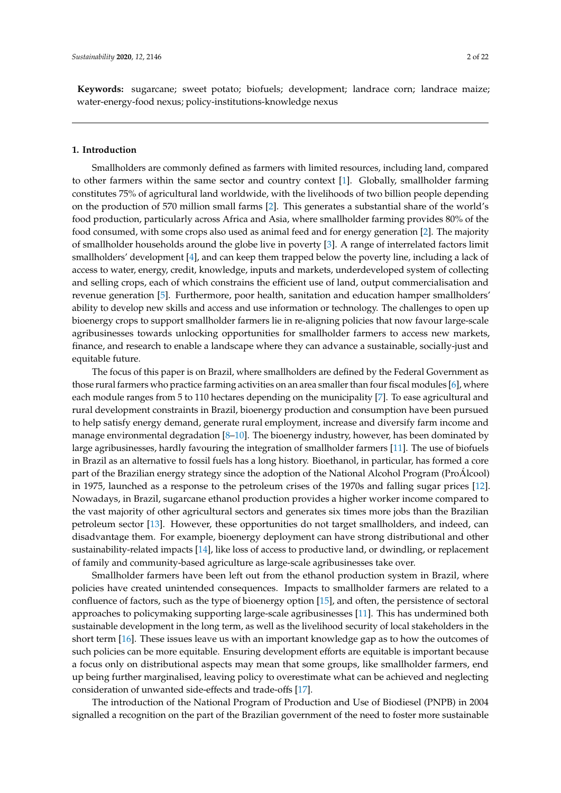**Keywords:** sugarcane; sweet potato; biofuels; development; landrace corn; landrace maize; water-energy-food nexus; policy-institutions-knowledge nexus

# **1. Introduction**

Smallholders are commonly defined as farmers with limited resources, including land, compared to other farmers within the same sector and country context [1]. Globally, smallholder farming constitutes 75% of agricultural land worldwide, with the livelihoods of two billion people depending on the production of 570 million small farms [2]. This generates a substantial share of the world's food production, particularly across Africa and Asia, where smallholder farming provides 80% of the food consumed, with some crops also used as animal feed and for energy generation [2]. The majority of smallholder households around the globe live in poverty [3]. A range of interrelated factors limit smallholders' development [4], and can keep them trapped below the poverty line, including a lack of access to water, energy, credit, knowledge, inputs and markets, underdeveloped system of collecting and selling crops, each of which constrains the efficient use of land, output commercialisation and revenue generation [5]. Furthermore, poor health, sanitation and education hamper smallholders' ability to develop new skills and access and use information or technology. The challenges to open up bioenergy crops to support smallholder farmers lie in re-aligning policies that now favour large-scale agribusinesses towards unlocking opportunities for smallholder farmers to access new markets, finance, and research to enable a landscape where they can advance a sustainable, socially-just and equitable future.

The focus of this paper is on Brazil, where smallholders are defined by the Federal Government as those rural farmers who practice farming activities on an area smaller than four fiscal modules [6], where each module ranges from 5 to 110 hectares depending on the municipality [7]. To ease agricultural and rural development constraints in Brazil, bioenergy production and consumption have been pursued to help satisfy energy demand, generate rural employment, increase and diversify farm income and manage environmental degradation [8–10]. The bioenergy industry, however, has been dominated by large agribusinesses, hardly favouring the integration of smallholder farmers [11]. The use of biofuels in Brazil as an alternative to fossil fuels has a long history. Bioethanol, in particular, has formed a core part of the Brazilian energy strategy since the adoption of the National Alcohol Program (ProÁlcool) in 1975, launched as a response to the petroleum crises of the 1970s and falling sugar prices [12]. Nowadays, in Brazil, sugarcane ethanol production provides a higher worker income compared to the vast majority of other agricultural sectors and generates six times more jobs than the Brazilian petroleum sector [13]. However, these opportunities do not target smallholders, and indeed, can disadvantage them. For example, bioenergy deployment can have strong distributional and other sustainability-related impacts [14], like loss of access to productive land, or dwindling, or replacement of family and community-based agriculture as large-scale agribusinesses take over.

Smallholder farmers have been left out from the ethanol production system in Brazil, where policies have created unintended consequences. Impacts to smallholder farmers are related to a confluence of factors, such as the type of bioenergy option [15], and often, the persistence of sectoral approaches to policymaking supporting large-scale agribusinesses [11]. This has undermined both sustainable development in the long term, as well as the livelihood security of local stakeholders in the short term [16]. These issues leave us with an important knowledge gap as to how the outcomes of such policies can be more equitable. Ensuring development efforts are equitable is important because a focus only on distributional aspects may mean that some groups, like smallholder farmers, end up being further marginalised, leaving policy to overestimate what can be achieved and neglecting consideration of unwanted side-effects and trade-offs [17].

The introduction of the National Program of Production and Use of Biodiesel (PNPB) in 2004 signalled a recognition on the part of the Brazilian government of the need to foster more sustainable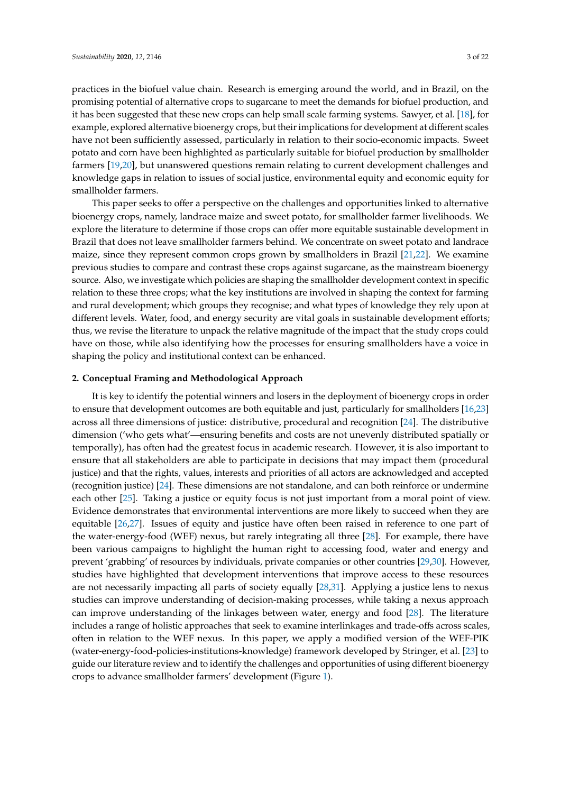practices in the biofuel value chain. Research is emerging around the world, and in Brazil, on the promising potential of alternative crops to sugarcane to meet the demands for biofuel production, and it has been suggested that these new crops can help small scale farming systems. Sawyer, et al. [18], for example, explored alternative bioenergy crops, but their implications for development at different scales have not been sufficiently assessed, particularly in relation to their socio-economic impacts. Sweet potato and corn have been highlighted as particularly suitable for biofuel production by smallholder farmers [19,20], but unanswered questions remain relating to current development challenges and knowledge gaps in relation to issues of social justice, environmental equity and economic equity for smallholder farmers.

This paper seeks to offer a perspective on the challenges and opportunities linked to alternative bioenergy crops, namely, landrace maize and sweet potato, for smallholder farmer livelihoods. We explore the literature to determine if those crops can offer more equitable sustainable development in Brazil that does not leave smallholder farmers behind. We concentrate on sweet potato and landrace maize, since they represent common crops grown by smallholders in Brazil [21,22]. We examine previous studies to compare and contrast these crops against sugarcane, as the mainstream bioenergy source. Also, we investigate which policies are shaping the smallholder development context in specific relation to these three crops; what the key institutions are involved in shaping the context for farming and rural development; which groups they recognise; and what types of knowledge they rely upon at different levels. Water, food, and energy security are vital goals in sustainable development efforts; thus, we revise the literature to unpack the relative magnitude of the impact that the study crops could have on those, while also identifying how the processes for ensuring smallholders have a voice in shaping the policy and institutional context can be enhanced.

### **2. Conceptual Framing and Methodological Approach**

It is key to identify the potential winners and losers in the deployment of bioenergy crops in order to ensure that development outcomes are both equitable and just, particularly for smallholders [16,23] across all three dimensions of justice: distributive, procedural and recognition [24]. The distributive dimension ('who gets what'—ensuring benefits and costs are not unevenly distributed spatially or temporally), has often had the greatest focus in academic research. However, it is also important to ensure that all stakeholders are able to participate in decisions that may impact them (procedural justice) and that the rights, values, interests and priorities of all actors are acknowledged and accepted (recognition justice) [24]. These dimensions are not standalone, and can both reinforce or undermine each other [25]. Taking a justice or equity focus is not just important from a moral point of view. Evidence demonstrates that environmental interventions are more likely to succeed when they are equitable [26,27]. Issues of equity and justice have often been raised in reference to one part of the water-energy-food (WEF) nexus, but rarely integrating all three [28]. For example, there have been various campaigns to highlight the human right to accessing food, water and energy and prevent 'grabbing' of resources by individuals, private companies or other countries [29,30]. However, studies have highlighted that development interventions that improve access to these resources are not necessarily impacting all parts of society equally [28,31]. Applying a justice lens to nexus studies can improve understanding of decision-making processes, while taking a nexus approach can improve understanding of the linkages between water, energy and food [28]. The literature includes a range of holistic approaches that seek to examine interlinkages and trade-offs across scales, often in relation to the WEF nexus. In this paper, we apply a modified version of the WEF-PIK (water-energy-food-policies-institutions-knowledge) framework developed by Stringer, et al. [23] to guide our literature review and to identify the challenges and opportunities of using different bioenergy crops to advance smallholder farmers' development (Figure 1).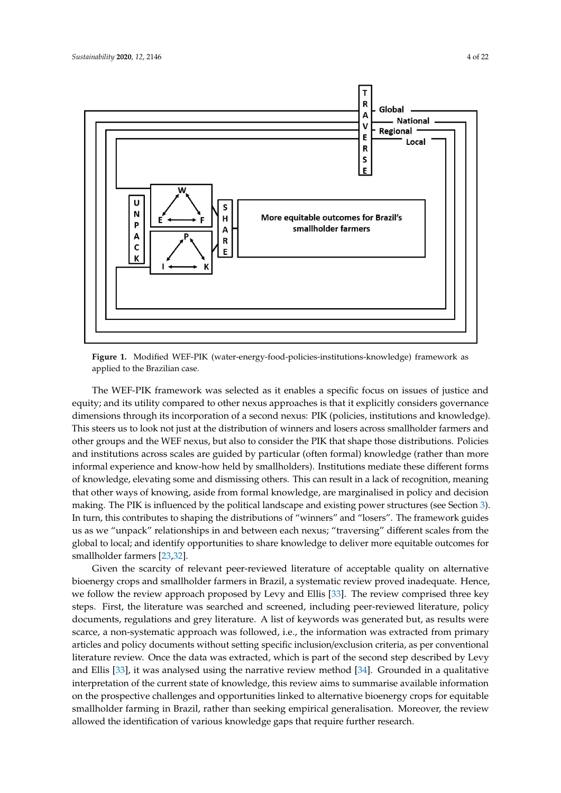

**Figure 1.** Modified WEF-PIK (water-energy-food-policies-institutions-knowledge) framework as applied to the Brazilian case.

The WEF-PIK framework was selected as it enables a specific focus on issues of justice and equity; and its utility compared to other nexus approaches is that it explicitly considers governance dimensions through its incorporation of a second nexus: PIK (policies, institutions and knowledge). This steers us to look not just at the distribution of winners and losers across smallholder farmers and other groups and the WEF nexus, but also to consider the PIK that shape those distributions. Policies and institutions across scales are guided by particular (often formal) knowledge (rather than more informal experience and know-how held by smallholders). Institutions mediate these different forms of knowledge, elevating some and dismissing others. This can result in a lack of recognition, meaning that other ways of knowing, aside from formal knowledge, are marginalised in policy and decision making. The PIK is influenced by the political landscape and existing power structures (see Section 3). In turn, this contributes to shaping the distributions of "winners" and "losers". The framework guides us as we "unpack" relationships in and between each nexus; "traversing" different scales from the global to local; and identify opportunities to share knowledge to deliver more equitable outcomes for smallholder farmers [23,32].

Given the scarcity of relevant peer-reviewed literature of acceptable quality on alternative bioenergy crops and smallholder farmers in Brazil, a systematic review proved inadequate. Hence, we follow the review approach proposed by Levy and Ellis [33]. The review comprised three key steps. First, the literature was searched and screened, including peer-reviewed literature, policy documents, regulations and grey literature. A list of keywords was generated but, as results were scarce, a non-systematic approach was followed, i.e., the information was extracted from primary articles and policy documents without setting specific inclusion/exclusion criteria, as per conventional literature review. Once the data was extracted, which is part of the second step described by Levy and Ellis [33], it was analysed using the narrative review method [34]. Grounded in a qualitative interpretation of the current state of knowledge, this review aims to summarise available information on the prospective challenges and opportunities linked to alternative bioenergy crops for equitable smallholder farming in Brazil, rather than seeking empirical generalisation. Moreover, the review allowed the identification of various knowledge gaps that require further research.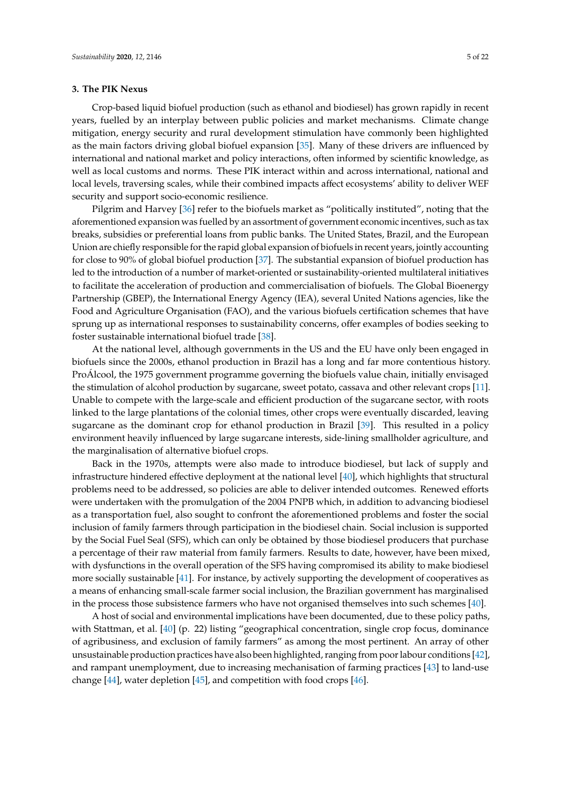# **3. The PIK Nexus**

Crop-based liquid biofuel production (such as ethanol and biodiesel) has grown rapidly in recent years, fuelled by an interplay between public policies and market mechanisms. Climate change mitigation, energy security and rural development stimulation have commonly been highlighted as the main factors driving global biofuel expansion [35]. Many of these drivers are influenced by international and national market and policy interactions, often informed by scientific knowledge, as well as local customs and norms. These PIK interact within and across international, national and local levels, traversing scales, while their combined impacts affect ecosystems' ability to deliver WEF security and support socio-economic resilience.

Pilgrim and Harvey [36] refer to the biofuels market as "politically instituted", noting that the aforementioned expansion was fuelled by an assortment of government economic incentives, such as tax breaks, subsidies or preferential loans from public banks. The United States, Brazil, and the European Union are chiefly responsible for the rapid global expansion of biofuels in recent years, jointly accounting for close to 90% of global biofuel production [37]. The substantial expansion of biofuel production has led to the introduction of a number of market-oriented or sustainability-oriented multilateral initiatives to facilitate the acceleration of production and commercialisation of biofuels. The Global Bioenergy Partnership (GBEP), the International Energy Agency (IEA), several United Nations agencies, like the Food and Agriculture Organisation (FAO), and the various biofuels certification schemes that have sprung up as international responses to sustainability concerns, offer examples of bodies seeking to foster sustainable international biofuel trade [38].

At the national level, although governments in the US and the EU have only been engaged in biofuels since the 2000s, ethanol production in Brazil has a long and far more contentious history. ProÁlcool, the 1975 government programme governing the biofuels value chain, initially envisaged the stimulation of alcohol production by sugarcane, sweet potato, cassava and other relevant crops [11]. Unable to compete with the large-scale and efficient production of the sugarcane sector, with roots linked to the large plantations of the colonial times, other crops were eventually discarded, leaving sugarcane as the dominant crop for ethanol production in Brazil [39]. This resulted in a policy environment heavily influenced by large sugarcane interests, side-lining smallholder agriculture, and the marginalisation of alternative biofuel crops.

Back in the 1970s, attempts were also made to introduce biodiesel, but lack of supply and infrastructure hindered effective deployment at the national level [40], which highlights that structural problems need to be addressed, so policies are able to deliver intended outcomes. Renewed efforts were undertaken with the promulgation of the 2004 PNPB which, in addition to advancing biodiesel as a transportation fuel, also sought to confront the aforementioned problems and foster the social inclusion of family farmers through participation in the biodiesel chain. Social inclusion is supported by the Social Fuel Seal (SFS), which can only be obtained by those biodiesel producers that purchase a percentage of their raw material from family farmers. Results to date, however, have been mixed, with dysfunctions in the overall operation of the SFS having compromised its ability to make biodiesel more socially sustainable [41]. For instance, by actively supporting the development of cooperatives as a means of enhancing small-scale farmer social inclusion, the Brazilian government has marginalised in the process those subsistence farmers who have not organised themselves into such schemes [40].

A host of social and environmental implications have been documented, due to these policy paths, with Stattman, et al. [40] (p. 22) listing "geographical concentration, single crop focus, dominance of agribusiness, and exclusion of family farmers" as among the most pertinent. An array of other unsustainable production practices have also been highlighted, ranging from poor labour conditions [42], and rampant unemployment, due to increasing mechanisation of farming practices [43] to land-use change [44], water depletion [45], and competition with food crops [46].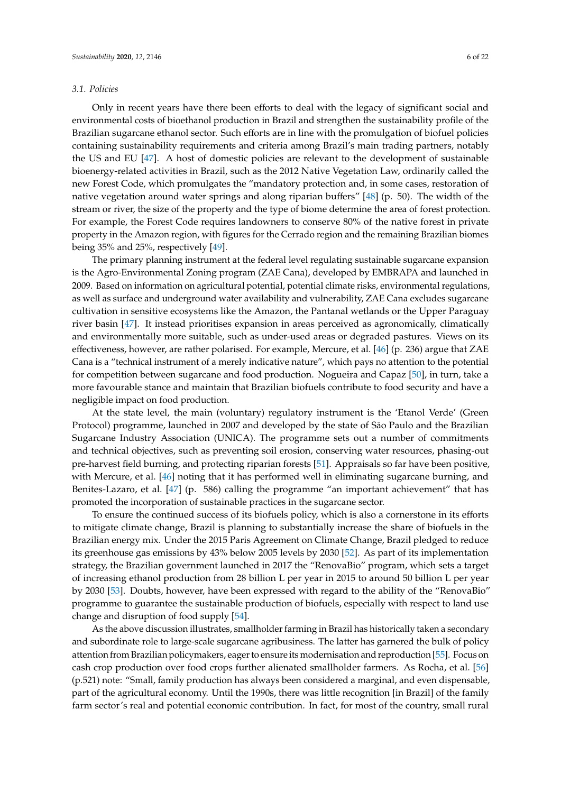#### *3.1. Policies*

Only in recent years have there been efforts to deal with the legacy of significant social and environmental costs of bioethanol production in Brazil and strengthen the sustainability profile of the Brazilian sugarcane ethanol sector. Such efforts are in line with the promulgation of biofuel policies containing sustainability requirements and criteria among Brazil's main trading partners, notably the US and EU [47]. A host of domestic policies are relevant to the development of sustainable bioenergy-related activities in Brazil, such as the 2012 Native Vegetation Law, ordinarily called the new Forest Code, which promulgates the "mandatory protection and, in some cases, restoration of native vegetation around water springs and along riparian buffers" [48] (p. 50). The width of the stream or river, the size of the property and the type of biome determine the area of forest protection. For example, the Forest Code requires landowners to conserve 80% of the native forest in private property in the Amazon region, with figures for the Cerrado region and the remaining Brazilian biomes being 35% and 25%, respectively [49].

The primary planning instrument at the federal level regulating sustainable sugarcane expansion is the Agro-Environmental Zoning program (ZAE Cana), developed by EMBRAPA and launched in 2009. Based on information on agricultural potential, potential climate risks, environmental regulations, as well as surface and underground water availability and vulnerability, ZAE Cana excludes sugarcane cultivation in sensitive ecosystems like the Amazon, the Pantanal wetlands or the Upper Paraguay river basin [47]. It instead prioritises expansion in areas perceived as agronomically, climatically and environmentally more suitable, such as under-used areas or degraded pastures. Views on its effectiveness, however, are rather polarised. For example, Mercure, et al. [46] (p. 236) argue that ZAE Cana is a "technical instrument of a merely indicative nature", which pays no attention to the potential for competition between sugarcane and food production. Nogueira and Capaz [50], in turn, take a more favourable stance and maintain that Brazilian biofuels contribute to food security and have a negligible impact on food production.

At the state level, the main (voluntary) regulatory instrument is the 'Etanol Verde' (Green Protocol) programme, launched in 2007 and developed by the state of São Paulo and the Brazilian Sugarcane Industry Association (UNICA). The programme sets out a number of commitments and technical objectives, such as preventing soil erosion, conserving water resources, phasing-out pre-harvest field burning, and protecting riparian forests [51]. Appraisals so far have been positive, with Mercure, et al. [46] noting that it has performed well in eliminating sugarcane burning, and Benites-Lazaro, et al. [47] (p. 586) calling the programme "an important achievement" that has promoted the incorporation of sustainable practices in the sugarcane sector.

To ensure the continued success of its biofuels policy, which is also a cornerstone in its efforts to mitigate climate change, Brazil is planning to substantially increase the share of biofuels in the Brazilian energy mix. Under the 2015 Paris Agreement on Climate Change, Brazil pledged to reduce its greenhouse gas emissions by 43% below 2005 levels by 2030 [52]. As part of its implementation strategy, the Brazilian government launched in 2017 the "RenovaBio" program, which sets a target of increasing ethanol production from 28 billion L per year in 2015 to around 50 billion L per year by 2030 [53]. Doubts, however, have been expressed with regard to the ability of the "RenovaBio" programme to guarantee the sustainable production of biofuels, especially with respect to land use change and disruption of food supply [54].

As the above discussion illustrates, smallholder farming in Brazil has historically taken a secondary and subordinate role to large-scale sugarcane agribusiness. The latter has garnered the bulk of policy attention from Brazilian policymakers, eager to ensure its modernisation and reproduction [55]. Focus on cash crop production over food crops further alienated smallholder farmers. As Rocha, et al. [56] (p.521) note: "Small, family production has always been considered a marginal, and even dispensable, part of the agricultural economy. Until the 1990s, there was little recognition [in Brazil] of the family farm sector's real and potential economic contribution. In fact, for most of the country, small rural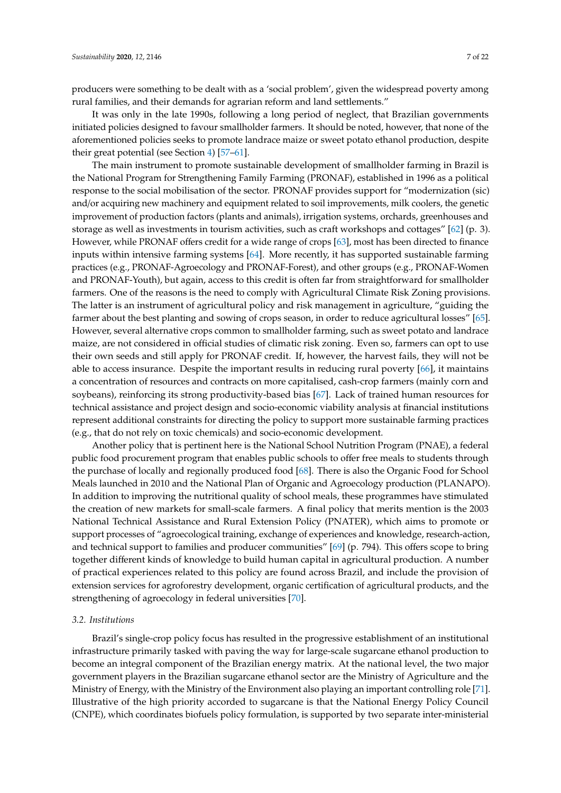producers were something to be dealt with as a 'social problem', given the widespread poverty among rural families, and their demands for agrarian reform and land settlements."

It was only in the late 1990s, following a long period of neglect, that Brazilian governments initiated policies designed to favour smallholder farmers. It should be noted, however, that none of the aforementioned policies seeks to promote landrace maize or sweet potato ethanol production, despite their great potential (see Section 4) [57–61].

The main instrument to promote sustainable development of smallholder farming in Brazil is the National Program for Strengthening Family Farming (PRONAF), established in 1996 as a political response to the social mobilisation of the sector. PRONAF provides support for "modernization (sic) and/or acquiring new machinery and equipment related to soil improvements, milk coolers, the genetic improvement of production factors (plants and animals), irrigation systems, orchards, greenhouses and storage as well as investments in tourism activities, such as craft workshops and cottages" [62] (p. 3). However, while PRONAF offers credit for a wide range of crops [63], most has been directed to finance inputs within intensive farming systems [64]. More recently, it has supported sustainable farming practices (e.g., PRONAF-Agroecology and PRONAF-Forest), and other groups (e.g., PRONAF-Women and PRONAF-Youth), but again, access to this credit is often far from straightforward for smallholder farmers. One of the reasons is the need to comply with Agricultural Climate Risk Zoning provisions. The latter is an instrument of agricultural policy and risk management in agriculture, "guiding the farmer about the best planting and sowing of crops season, in order to reduce agricultural losses" [65]. However, several alternative crops common to smallholder farming, such as sweet potato and landrace maize, are not considered in official studies of climatic risk zoning. Even so, farmers can opt to use their own seeds and still apply for PRONAF credit. If, however, the harvest fails, they will not be able to access insurance. Despite the important results in reducing rural poverty [66], it maintains a concentration of resources and contracts on more capitalised, cash-crop farmers (mainly corn and soybeans), reinforcing its strong productivity-based bias [67]. Lack of trained human resources for technical assistance and project design and socio-economic viability analysis at financial institutions represent additional constraints for directing the policy to support more sustainable farming practices (e.g., that do not rely on toxic chemicals) and socio-economic development.

Another policy that is pertinent here is the National School Nutrition Program (PNAE), a federal public food procurement program that enables public schools to offer free meals to students through the purchase of locally and regionally produced food [68]. There is also the Organic Food for School Meals launched in 2010 and the National Plan of Organic and Agroecology production (PLANAPO). In addition to improving the nutritional quality of school meals, these programmes have stimulated the creation of new markets for small-scale farmers. A final policy that merits mention is the 2003 National Technical Assistance and Rural Extension Policy (PNATER), which aims to promote or support processes of "agroecological training, exchange of experiences and knowledge, research-action, and technical support to families and producer communities" [69] (p. 794). This offers scope to bring together different kinds of knowledge to build human capital in agricultural production. A number of practical experiences related to this policy are found across Brazil, and include the provision of extension services for agroforestry development, organic certification of agricultural products, and the strengthening of agroecology in federal universities [70].

#### *3.2. Institutions*

Brazil's single-crop policy focus has resulted in the progressive establishment of an institutional infrastructure primarily tasked with paving the way for large-scale sugarcane ethanol production to become an integral component of the Brazilian energy matrix. At the national level, the two major government players in the Brazilian sugarcane ethanol sector are the Ministry of Agriculture and the Ministry of Energy, with the Ministry of the Environment also playing an important controlling role [71]. Illustrative of the high priority accorded to sugarcane is that the National Energy Policy Council (CNPE), which coordinates biofuels policy formulation, is supported by two separate inter-ministerial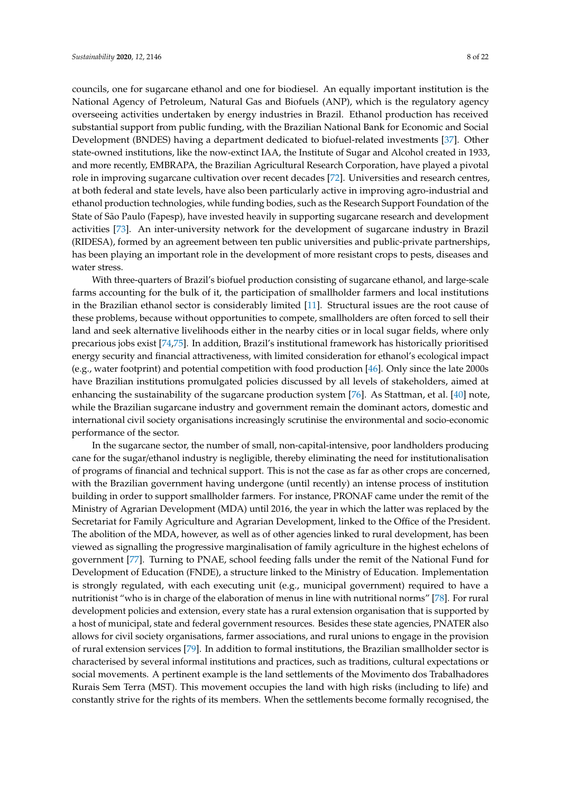councils, one for sugarcane ethanol and one for biodiesel. An equally important institution is the National Agency of Petroleum, Natural Gas and Biofuels (ANP), which is the regulatory agency overseeing activities undertaken by energy industries in Brazil. Ethanol production has received substantial support from public funding, with the Brazilian National Bank for Economic and Social Development (BNDES) having a department dedicated to biofuel-related investments [37]. Other state-owned institutions, like the now-extinct IAA, the Institute of Sugar and Alcohol created in 1933, and more recently, EMBRAPA, the Brazilian Agricultural Research Corporation, have played a pivotal role in improving sugarcane cultivation over recent decades [72]. Universities and research centres, at both federal and state levels, have also been particularly active in improving agro-industrial and ethanol production technologies, while funding bodies, such as the Research Support Foundation of the State of São Paulo (Fapesp), have invested heavily in supporting sugarcane research and development activities [73]. An inter-university network for the development of sugarcane industry in Brazil (RIDESA), formed by an agreement between ten public universities and public-private partnerships, has been playing an important role in the development of more resistant crops to pests, diseases and water stress.

With three-quarters of Brazil's biofuel production consisting of sugarcane ethanol, and large-scale farms accounting for the bulk of it, the participation of smallholder farmers and local institutions in the Brazilian ethanol sector is considerably limited [11]. Structural issues are the root cause of these problems, because without opportunities to compete, smallholders are often forced to sell their land and seek alternative livelihoods either in the nearby cities or in local sugar fields, where only precarious jobs exist [74,75]. In addition, Brazil's institutional framework has historically prioritised energy security and financial attractiveness, with limited consideration for ethanol's ecological impact (e.g., water footprint) and potential competition with food production [46]. Only since the late 2000s have Brazilian institutions promulgated policies discussed by all levels of stakeholders, aimed at enhancing the sustainability of the sugarcane production system [76]. As Stattman, et al. [40] note, while the Brazilian sugarcane industry and government remain the dominant actors, domestic and international civil society organisations increasingly scrutinise the environmental and socio-economic performance of the sector.

In the sugarcane sector, the number of small, non-capital-intensive, poor landholders producing cane for the sugar/ethanol industry is negligible, thereby eliminating the need for institutionalisation of programs of financial and technical support. This is not the case as far as other crops are concerned, with the Brazilian government having undergone (until recently) an intense process of institution building in order to support smallholder farmers. For instance, PRONAF came under the remit of the Ministry of Agrarian Development (MDA) until 2016, the year in which the latter was replaced by the Secretariat for Family Agriculture and Agrarian Development, linked to the Office of the President. The abolition of the MDA, however, as well as of other agencies linked to rural development, has been viewed as signalling the progressive marginalisation of family agriculture in the highest echelons of government [77]. Turning to PNAE, school feeding falls under the remit of the National Fund for Development of Education (FNDE), a structure linked to the Ministry of Education. Implementation is strongly regulated, with each executing unit (e.g., municipal government) required to have a nutritionist "who is in charge of the elaboration of menus in line with nutritional norms" [78]. For rural development policies and extension, every state has a rural extension organisation that is supported by a host of municipal, state and federal government resources. Besides these state agencies, PNATER also allows for civil society organisations, farmer associations, and rural unions to engage in the provision of rural extension services [79]. In addition to formal institutions, the Brazilian smallholder sector is characterised by several informal institutions and practices, such as traditions, cultural expectations or social movements. A pertinent example is the land settlements of the Movimento dos Trabalhadores Rurais Sem Terra (MST). This movement occupies the land with high risks (including to life) and constantly strive for the rights of its members. When the settlements become formally recognised, the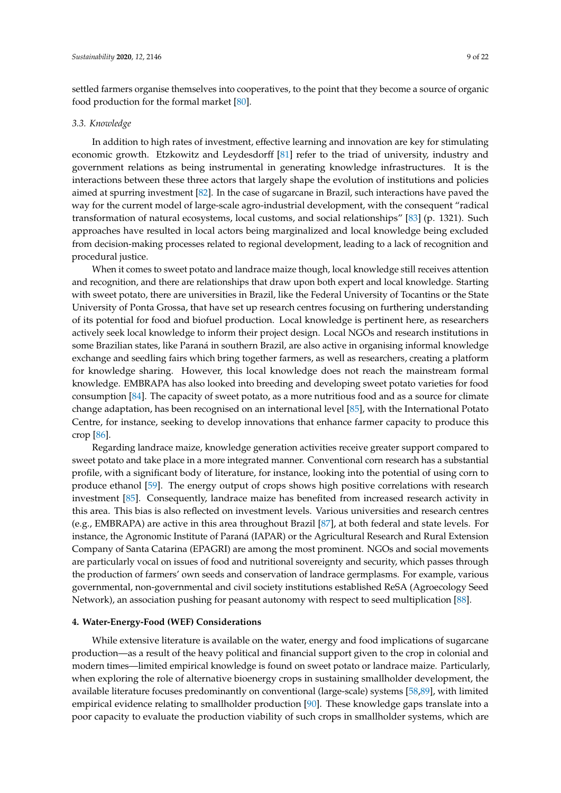settled farmers organise themselves into cooperatives, to the point that they become a source of organic food production for the formal market [80].

#### *3.3. Knowledge*

In addition to high rates of investment, effective learning and innovation are key for stimulating economic growth. Etzkowitz and Leydesdorff [81] refer to the triad of university, industry and government relations as being instrumental in generating knowledge infrastructures. It is the interactions between these three actors that largely shape the evolution of institutions and policies aimed at spurring investment [82]. In the case of sugarcane in Brazil, such interactions have paved the way for the current model of large-scale agro-industrial development, with the consequent "radical transformation of natural ecosystems, local customs, and social relationships" [83] (p. 1321). Such approaches have resulted in local actors being marginalized and local knowledge being excluded from decision-making processes related to regional development, leading to a lack of recognition and procedural justice.

When it comes to sweet potato and landrace maize though, local knowledge still receives attention and recognition, and there are relationships that draw upon both expert and local knowledge. Starting with sweet potato, there are universities in Brazil, like the Federal University of Tocantins or the State University of Ponta Grossa, that have set up research centres focusing on furthering understanding of its potential for food and biofuel production. Local knowledge is pertinent here, as researchers actively seek local knowledge to inform their project design. Local NGOs and research institutions in some Brazilian states, like Paraná in southern Brazil, are also active in organising informal knowledge exchange and seedling fairs which bring together farmers, as well as researchers, creating a platform for knowledge sharing. However, this local knowledge does not reach the mainstream formal knowledge. EMBRAPA has also looked into breeding and developing sweet potato varieties for food consumption [84]. The capacity of sweet potato, as a more nutritious food and as a source for climate change adaptation, has been recognised on an international level [85], with the International Potato Centre, for instance, seeking to develop innovations that enhance farmer capacity to produce this crop [86].

Regarding landrace maize, knowledge generation activities receive greater support compared to sweet potato and take place in a more integrated manner. Conventional corn research has a substantial profile, with a significant body of literature, for instance, looking into the potential of using corn to produce ethanol [59]. The energy output of crops shows high positive correlations with research investment [85]. Consequently, landrace maize has benefited from increased research activity in this area. This bias is also reflected on investment levels. Various universities and research centres (e.g., EMBRAPA) are active in this area throughout Brazil [87], at both federal and state levels. For instance, the Agronomic Institute of Paraná (IAPAR) or the Agricultural Research and Rural Extension Company of Santa Catarina (EPAGRI) are among the most prominent. NGOs and social movements are particularly vocal on issues of food and nutritional sovereignty and security, which passes through the production of farmers' own seeds and conservation of landrace germplasms. For example, various governmental, non-governmental and civil society institutions established ReSA (Agroecology Seed Network), an association pushing for peasant autonomy with respect to seed multiplication [88].

# **4. Water-Energy-Food (WEF) Considerations**

While extensive literature is available on the water, energy and food implications of sugarcane production—as a result of the heavy political and financial support given to the crop in colonial and modern times—limited empirical knowledge is found on sweet potato or landrace maize. Particularly, when exploring the role of alternative bioenergy crops in sustaining smallholder development, the available literature focuses predominantly on conventional (large-scale) systems [58,89], with limited empirical evidence relating to smallholder production [90]. These knowledge gaps translate into a poor capacity to evaluate the production viability of such crops in smallholder systems, which are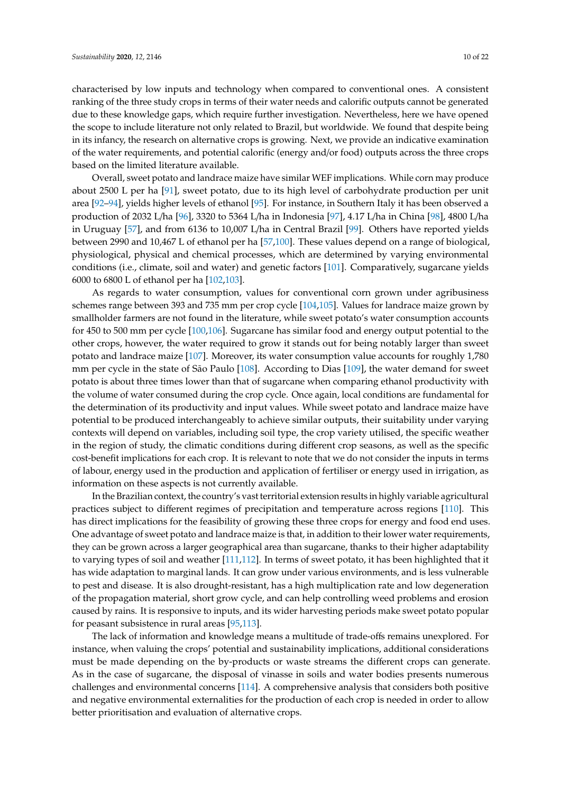characterised by low inputs and technology when compared to conventional ones. A consistent ranking of the three study crops in terms of their water needs and calorific outputs cannot be generated due to these knowledge gaps, which require further investigation. Nevertheless, here we have opened the scope to include literature not only related to Brazil, but worldwide. We found that despite being in its infancy, the research on alternative crops is growing. Next, we provide an indicative examination of the water requirements, and potential calorific (energy and/or food) outputs across the three crops based on the limited literature available.

Overall, sweet potato and landrace maize have similar WEF implications. While corn may produce about 2500 L per ha [91], sweet potato, due to its high level of carbohydrate production per unit area [92–94], yields higher levels of ethanol [95]. For instance, in Southern Italy it has been observed a production of 2032 L/ha [96], 3320 to 5364 L/ha in Indonesia [97], 4.17 L/ha in China [98], 4800 L/ha in Uruguay [57], and from 6136 to 10,007 L/ha in Central Brazil [99]. Others have reported yields between 2990 and 10,467 L of ethanol per ha [57,100]. These values depend on a range of biological, physiological, physical and chemical processes, which are determined by varying environmental conditions (i.e., climate, soil and water) and genetic factors [101]. Comparatively, sugarcane yields 6000 to 6800 L of ethanol per ha [102,103].

As regards to water consumption, values for conventional corn grown under agribusiness schemes range between 393 and 735 mm per crop cycle [104,105]. Values for landrace maize grown by smallholder farmers are not found in the literature, while sweet potato's water consumption accounts for 450 to 500 mm per cycle [100,106]. Sugarcane has similar food and energy output potential to the other crops, however, the water required to grow it stands out for being notably larger than sweet potato and landrace maize [107]. Moreover, its water consumption value accounts for roughly 1,780 mm per cycle in the state of São Paulo [108]. According to Dias [109], the water demand for sweet potato is about three times lower than that of sugarcane when comparing ethanol productivity with the volume of water consumed during the crop cycle. Once again, local conditions are fundamental for the determination of its productivity and input values. While sweet potato and landrace maize have potential to be produced interchangeably to achieve similar outputs, their suitability under varying contexts will depend on variables, including soil type, the crop variety utilised, the specific weather in the region of study, the climatic conditions during different crop seasons, as well as the specific cost-benefit implications for each crop. It is relevant to note that we do not consider the inputs in terms of labour, energy used in the production and application of fertiliser or energy used in irrigation, as information on these aspects is not currently available.

In the Brazilian context, the country's vast territorial extension results in highly variable agricultural practices subject to different regimes of precipitation and temperature across regions [110]. This has direct implications for the feasibility of growing these three crops for energy and food end uses. One advantage of sweet potato and landrace maize is that, in addition to their lower water requirements, they can be grown across a larger geographical area than sugarcane, thanks to their higher adaptability to varying types of soil and weather [111,112]. In terms of sweet potato, it has been highlighted that it has wide adaptation to marginal lands. It can grow under various environments, and is less vulnerable to pest and disease. It is also drought-resistant, has a high multiplication rate and low degeneration of the propagation material, short grow cycle, and can help controlling weed problems and erosion caused by rains. It is responsive to inputs, and its wider harvesting periods make sweet potato popular for peasant subsistence in rural areas [95,113].

The lack of information and knowledge means a multitude of trade-offs remains unexplored. For instance, when valuing the crops' potential and sustainability implications, additional considerations must be made depending on the by-products or waste streams the different crops can generate. As in the case of sugarcane, the disposal of vinasse in soils and water bodies presents numerous challenges and environmental concerns [114]. A comprehensive analysis that considers both positive and negative environmental externalities for the production of each crop is needed in order to allow better prioritisation and evaluation of alternative crops.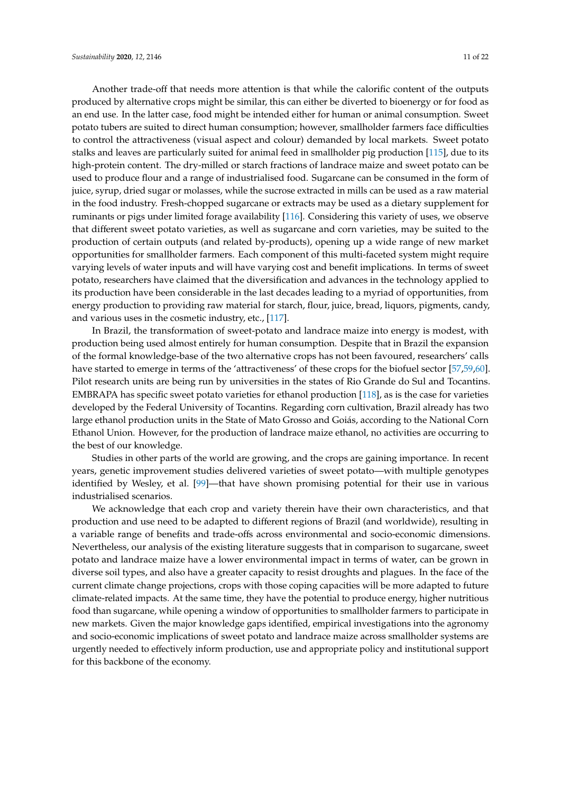Another trade-off that needs more attention is that while the calorific content of the outputs produced by alternative crops might be similar, this can either be diverted to bioenergy or for food as an end use. In the latter case, food might be intended either for human or animal consumption. Sweet potato tubers are suited to direct human consumption; however, smallholder farmers face difficulties to control the attractiveness (visual aspect and colour) demanded by local markets. Sweet potato stalks and leaves are particularly suited for animal feed in smallholder pig production [115], due to its high-protein content. The dry-milled or starch fractions of landrace maize and sweet potato can be used to produce flour and a range of industrialised food. Sugarcane can be consumed in the form of juice, syrup, dried sugar or molasses, while the sucrose extracted in mills can be used as a raw material in the food industry. Fresh-chopped sugarcane or extracts may be used as a dietary supplement for ruminants or pigs under limited forage availability [116]. Considering this variety of uses, we observe that different sweet potato varieties, as well as sugarcane and corn varieties, may be suited to the production of certain outputs (and related by-products), opening up a wide range of new market opportunities for smallholder farmers. Each component of this multi-faceted system might require varying levels of water inputs and will have varying cost and benefit implications. In terms of sweet potato, researchers have claimed that the diversification and advances in the technology applied to its production have been considerable in the last decades leading to a myriad of opportunities, from energy production to providing raw material for starch, flour, juice, bread, liquors, pigments, candy, and various uses in the cosmetic industry, etc., [117].

In Brazil, the transformation of sweet-potato and landrace maize into energy is modest, with production being used almost entirely for human consumption. Despite that in Brazil the expansion of the formal knowledge-base of the two alternative crops has not been favoured, researchers' calls have started to emerge in terms of the 'attractiveness' of these crops for the biofuel sector [57,59,60]. Pilot research units are being run by universities in the states of Rio Grande do Sul and Tocantins. EMBRAPA has specific sweet potato varieties for ethanol production [118], as is the case for varieties developed by the Federal University of Tocantins. Regarding corn cultivation, Brazil already has two large ethanol production units in the State of Mato Grosso and Goiás, according to the National Corn Ethanol Union. However, for the production of landrace maize ethanol, no activities are occurring to the best of our knowledge.

Studies in other parts of the world are growing, and the crops are gaining importance. In recent years, genetic improvement studies delivered varieties of sweet potato—with multiple genotypes identified by Wesley, et al. [99]—that have shown promising potential for their use in various industrialised scenarios.

We acknowledge that each crop and variety therein have their own characteristics, and that production and use need to be adapted to different regions of Brazil (and worldwide), resulting in a variable range of benefits and trade-offs across environmental and socio-economic dimensions. Nevertheless, our analysis of the existing literature suggests that in comparison to sugarcane, sweet potato and landrace maize have a lower environmental impact in terms of water, can be grown in diverse soil types, and also have a greater capacity to resist droughts and plagues. In the face of the current climate change projections, crops with those coping capacities will be more adapted to future climate-related impacts. At the same time, they have the potential to produce energy, higher nutritious food than sugarcane, while opening a window of opportunities to smallholder farmers to participate in new markets. Given the major knowledge gaps identified, empirical investigations into the agronomy and socio-economic implications of sweet potato and landrace maize across smallholder systems are urgently needed to effectively inform production, use and appropriate policy and institutional support for this backbone of the economy.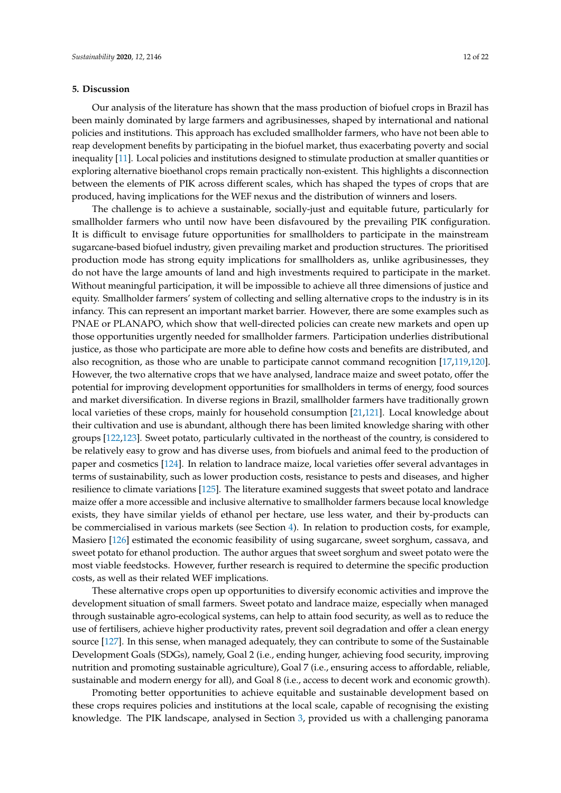# **5. Discussion**

Our analysis of the literature has shown that the mass production of biofuel crops in Brazil has been mainly dominated by large farmers and agribusinesses, shaped by international and national policies and institutions. This approach has excluded smallholder farmers, who have not been able to reap development benefits by participating in the biofuel market, thus exacerbating poverty and social inequality [11]. Local policies and institutions designed to stimulate production at smaller quantities or exploring alternative bioethanol crops remain practically non-existent. This highlights a disconnection between the elements of PIK across different scales, which has shaped the types of crops that are produced, having implications for the WEF nexus and the distribution of winners and losers.

The challenge is to achieve a sustainable, socially-just and equitable future, particularly for smallholder farmers who until now have been disfavoured by the prevailing PIK configuration. It is difficult to envisage future opportunities for smallholders to participate in the mainstream sugarcane-based biofuel industry, given prevailing market and production structures. The prioritised production mode has strong equity implications for smallholders as, unlike agribusinesses, they do not have the large amounts of land and high investments required to participate in the market. Without meaningful participation, it will be impossible to achieve all three dimensions of justice and equity. Smallholder farmers' system of collecting and selling alternative crops to the industry is in its infancy. This can represent an important market barrier. However, there are some examples such as PNAE or PLANAPO, which show that well-directed policies can create new markets and open up those opportunities urgently needed for smallholder farmers. Participation underlies distributional justice, as those who participate are more able to define how costs and benefits are distributed, and also recognition, as those who are unable to participate cannot command recognition [17,119,120]. However, the two alternative crops that we have analysed, landrace maize and sweet potato, offer the potential for improving development opportunities for smallholders in terms of energy, food sources and market diversification. In diverse regions in Brazil, smallholder farmers have traditionally grown local varieties of these crops, mainly for household consumption [21,121]. Local knowledge about their cultivation and use is abundant, although there has been limited knowledge sharing with other groups [122,123]. Sweet potato, particularly cultivated in the northeast of the country, is considered to be relatively easy to grow and has diverse uses, from biofuels and animal feed to the production of paper and cosmetics [124]. In relation to landrace maize, local varieties offer several advantages in terms of sustainability, such as lower production costs, resistance to pests and diseases, and higher resilience to climate variations [125]. The literature examined suggests that sweet potato and landrace maize offer a more accessible and inclusive alternative to smallholder farmers because local knowledge exists, they have similar yields of ethanol per hectare, use less water, and their by-products can be commercialised in various markets (see Section 4). In relation to production costs, for example, Masiero [126] estimated the economic feasibility of using sugarcane, sweet sorghum, cassava, and sweet potato for ethanol production. The author argues that sweet sorghum and sweet potato were the most viable feedstocks. However, further research is required to determine the specific production costs, as well as their related WEF implications.

These alternative crops open up opportunities to diversify economic activities and improve the development situation of small farmers. Sweet potato and landrace maize, especially when managed through sustainable agro-ecological systems, can help to attain food security, as well as to reduce the use of fertilisers, achieve higher productivity rates, prevent soil degradation and offer a clean energy source [127]. In this sense, when managed adequately, they can contribute to some of the Sustainable Development Goals (SDGs), namely, Goal 2 (i.e., ending hunger, achieving food security, improving nutrition and promoting sustainable agriculture), Goal 7 (i.e., ensuring access to affordable, reliable, sustainable and modern energy for all), and Goal 8 (i.e., access to decent work and economic growth).

Promoting better opportunities to achieve equitable and sustainable development based on these crops requires policies and institutions at the local scale, capable of recognising the existing knowledge. The PIK landscape, analysed in Section 3, provided us with a challenging panorama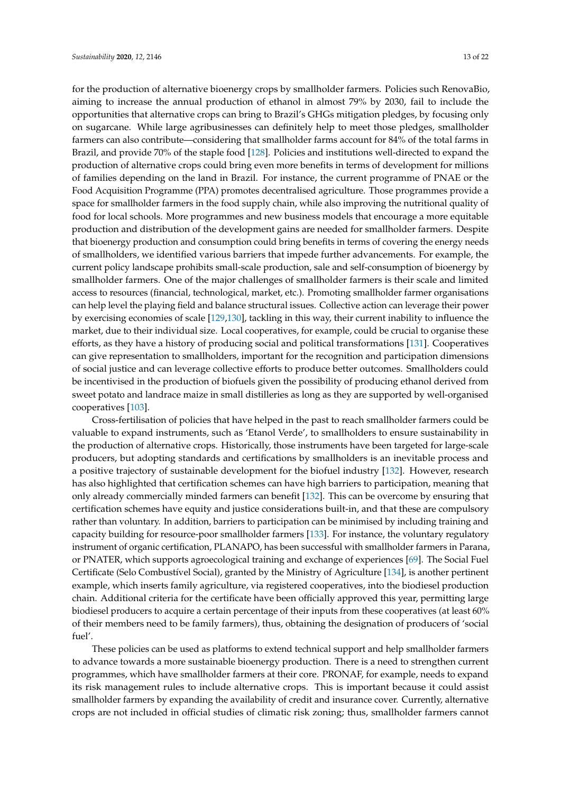for the production of alternative bioenergy crops by smallholder farmers. Policies such RenovaBio, aiming to increase the annual production of ethanol in almost 79% by 2030, fail to include the opportunities that alternative crops can bring to Brazil's GHGs mitigation pledges, by focusing only on sugarcane. While large agribusinesses can definitely help to meet those pledges, smallholder farmers can also contribute—considering that smallholder farms account for 84% of the total farms in Brazil, and provide 70% of the staple food [128]. Policies and institutions well-directed to expand the production of alternative crops could bring even more benefits in terms of development for millions of families depending on the land in Brazil. For instance, the current programme of PNAE or the Food Acquisition Programme (PPA) promotes decentralised agriculture. Those programmes provide a space for smallholder farmers in the food supply chain, while also improving the nutritional quality of food for local schools. More programmes and new business models that encourage a more equitable production and distribution of the development gains are needed for smallholder farmers. Despite that bioenergy production and consumption could bring benefits in terms of covering the energy needs of smallholders, we identified various barriers that impede further advancements. For example, the current policy landscape prohibits small-scale production, sale and self-consumption of bioenergy by smallholder farmers. One of the major challenges of smallholder farmers is their scale and limited access to resources (financial, technological, market, etc.). Promoting smallholder farmer organisations can help level the playing field and balance structural issues. Collective action can leverage their power by exercising economies of scale [129,130], tackling in this way, their current inability to influence the market, due to their individual size. Local cooperatives, for example, could be crucial to organise these efforts, as they have a history of producing social and political transformations [131]. Cooperatives can give representation to smallholders, important for the recognition and participation dimensions of social justice and can leverage collective efforts to produce better outcomes. Smallholders could be incentivised in the production of biofuels given the possibility of producing ethanol derived from sweet potato and landrace maize in small distilleries as long as they are supported by well-organised cooperatives [103].

Cross-fertilisation of policies that have helped in the past to reach smallholder farmers could be valuable to expand instruments, such as 'Etanol Verde', to smallholders to ensure sustainability in the production of alternative crops. Historically, those instruments have been targeted for large-scale producers, but adopting standards and certifications by smallholders is an inevitable process and a positive trajectory of sustainable development for the biofuel industry [132]. However, research has also highlighted that certification schemes can have high barriers to participation, meaning that only already commercially minded farmers can benefit [132]. This can be overcome by ensuring that certification schemes have equity and justice considerations built-in, and that these are compulsory rather than voluntary. In addition, barriers to participation can be minimised by including training and capacity building for resource-poor smallholder farmers [133]. For instance, the voluntary regulatory instrument of organic certification, PLANAPO, has been successful with smallholder farmers in Parana, or PNATER, which supports agroecological training and exchange of experiences [69]. The Social Fuel Certificate (Selo Combustível Social), granted by the Ministry of Agriculture [134], is another pertinent example, which inserts family agriculture, via registered cooperatives, into the biodiesel production chain. Additional criteria for the certificate have been officially approved this year, permitting large biodiesel producers to acquire a certain percentage of their inputs from these cooperatives (at least 60% of their members need to be family farmers), thus, obtaining the designation of producers of 'social fuel'.

These policies can be used as platforms to extend technical support and help smallholder farmers to advance towards a more sustainable bioenergy production. There is a need to strengthen current programmes, which have smallholder farmers at their core. PRONAF, for example, needs to expand its risk management rules to include alternative crops. This is important because it could assist smallholder farmers by expanding the availability of credit and insurance cover. Currently, alternative crops are not included in official studies of climatic risk zoning; thus, smallholder farmers cannot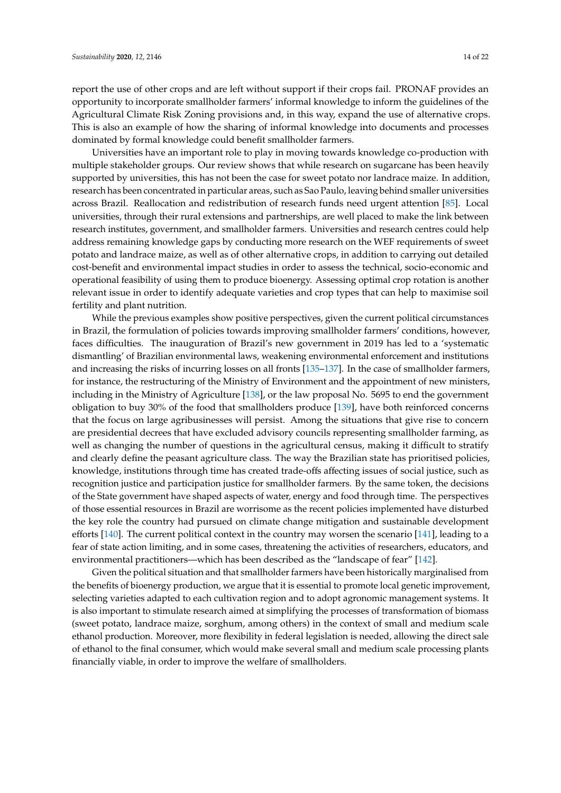report the use of other crops and are left without support if their crops fail. PRONAF provides an opportunity to incorporate smallholder farmers' informal knowledge to inform the guidelines of the Agricultural Climate Risk Zoning provisions and, in this way, expand the use of alternative crops. This is also an example of how the sharing of informal knowledge into documents and processes dominated by formal knowledge could benefit smallholder farmers.

Universities have an important role to play in moving towards knowledge co-production with multiple stakeholder groups. Our review shows that while research on sugarcane has been heavily supported by universities, this has not been the case for sweet potato nor landrace maize. In addition, research has been concentrated in particular areas, such as Sao Paulo, leaving behind smaller universities across Brazil. Reallocation and redistribution of research funds need urgent attention [85]. Local universities, through their rural extensions and partnerships, are well placed to make the link between research institutes, government, and smallholder farmers. Universities and research centres could help address remaining knowledge gaps by conducting more research on the WEF requirements of sweet potato and landrace maize, as well as of other alternative crops, in addition to carrying out detailed cost-benefit and environmental impact studies in order to assess the technical, socio-economic and operational feasibility of using them to produce bioenergy. Assessing optimal crop rotation is another relevant issue in order to identify adequate varieties and crop types that can help to maximise soil fertility and plant nutrition.

While the previous examples show positive perspectives, given the current political circumstances in Brazil, the formulation of policies towards improving smallholder farmers' conditions, however, faces difficulties. The inauguration of Brazil's new government in 2019 has led to a 'systematic dismantling' of Brazilian environmental laws, weakening environmental enforcement and institutions and increasing the risks of incurring losses on all fronts [135–137]. In the case of smallholder farmers, for instance, the restructuring of the Ministry of Environment and the appointment of new ministers, including in the Ministry of Agriculture [138], or the law proposal No. 5695 to end the government obligation to buy 30% of the food that smallholders produce [139], have both reinforced concerns that the focus on large agribusinesses will persist. Among the situations that give rise to concern are presidential decrees that have excluded advisory councils representing smallholder farming, as well as changing the number of questions in the agricultural census, making it difficult to stratify and clearly define the peasant agriculture class. The way the Brazilian state has prioritised policies, knowledge, institutions through time has created trade-offs affecting issues of social justice, such as recognition justice and participation justice for smallholder farmers. By the same token, the decisions of the State government have shaped aspects of water, energy and food through time. The perspectives of those essential resources in Brazil are worrisome as the recent policies implemented have disturbed the key role the country had pursued on climate change mitigation and sustainable development efforts [140]. The current political context in the country may worsen the scenario [141], leading to a fear of state action limiting, and in some cases, threatening the activities of researchers, educators, and environmental practitioners—which has been described as the "landscape of fear" [142].

Given the political situation and that smallholder farmers have been historically marginalised from the benefits of bioenergy production, we argue that it is essential to promote local genetic improvement, selecting varieties adapted to each cultivation region and to adopt agronomic management systems. It is also important to stimulate research aimed at simplifying the processes of transformation of biomass (sweet potato, landrace maize, sorghum, among others) in the context of small and medium scale ethanol production. Moreover, more flexibility in federal legislation is needed, allowing the direct sale of ethanol to the final consumer, which would make several small and medium scale processing plants financially viable, in order to improve the welfare of smallholders.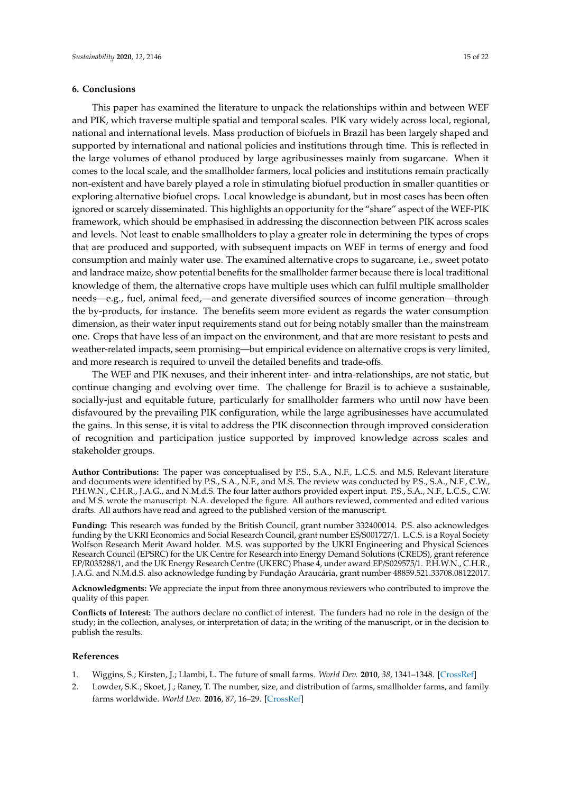## **6. Conclusions**

This paper has examined the literature to unpack the relationships within and between WEF and PIK, which traverse multiple spatial and temporal scales. PIK vary widely across local, regional, national and international levels. Mass production of biofuels in Brazil has been largely shaped and supported by international and national policies and institutions through time. This is reflected in the large volumes of ethanol produced by large agribusinesses mainly from sugarcane. When it comes to the local scale, and the smallholder farmers, local policies and institutions remain practically non-existent and have barely played a role in stimulating biofuel production in smaller quantities or exploring alternative biofuel crops. Local knowledge is abundant, but in most cases has been often ignored or scarcely disseminated. This highlights an opportunity for the "share" aspect of the WEF-PIK framework, which should be emphasised in addressing the disconnection between PIK across scales and levels. Not least to enable smallholders to play a greater role in determining the types of crops that are produced and supported, with subsequent impacts on WEF in terms of energy and food consumption and mainly water use. The examined alternative crops to sugarcane, i.e., sweet potato and landrace maize, show potential benefits for the smallholder farmer because there is local traditional knowledge of them, the alternative crops have multiple uses which can fulfil multiple smallholder needs—e.g., fuel, animal feed,—and generate diversified sources of income generation—through the by-products, for instance. The benefits seem more evident as regards the water consumption dimension, as their water input requirements stand out for being notably smaller than the mainstream one. Crops that have less of an impact on the environment, and that are more resistant to pests and weather-related impacts, seem promising—but empirical evidence on alternative crops is very limited, and more research is required to unveil the detailed benefits and trade-offs.

The WEF and PIK nexuses, and their inherent inter- and intra-relationships, are not static, but continue changing and evolving over time. The challenge for Brazil is to achieve a sustainable, socially-just and equitable future, particularly for smallholder farmers who until now have been disfavoured by the prevailing PIK configuration, while the large agribusinesses have accumulated the gains. In this sense, it is vital to address the PIK disconnection through improved consideration of recognition and participation justice supported by improved knowledge across scales and stakeholder groups.

**Author Contributions:** The paper was conceptualised by P.S., S.A., N.F., L.C.S. and M.S. Relevant literature and documents were identified by P.S., S.A., N.F., and M.S. The review was conducted by P.S., S.A., N.F., C.W., P.H.W.N., C.H.R., J.A.G., and N.M.d.S. The four latter authors provided expert input. P.S., S.A., N.F., L.C.S., C.W. and M.S. wrote the manuscript. N.A. developed the figure. All authors reviewed, commented and edited various drafts. All authors have read and agreed to the published version of the manuscript.

**Funding:** This research was funded by the British Council, grant number 332400014. P.S. also acknowledges funding by the UKRI Economics and Social Research Council, grant number ES/S001727/1. L.C.S. is a Royal Society Wolfson Research Merit Award holder. M.S. was supported by the UKRI Engineering and Physical Sciences Research Council (EPSRC) for the UK Centre for Research into Energy Demand Solutions (CREDS), grant reference EP/R035288/1, and the UK Energy Research Centre (UKERC) Phase 4, under award EP/S029575/1. P.H.W.N., C.H.R., J.A.G. and N.M.d.S. also acknowledge funding by Fundação Araucária, grant number 48859.521.33708.08122017.

**Acknowledgments:** We appreciate the input from three anonymous reviewers who contributed to improve the quality of this paper.

**Conflicts of Interest:** The authors declare no conflict of interest. The funders had no role in the design of the study; in the collection, analyses, or interpretation of data; in the writing of the manuscript, or in the decision to publish the results.

# **References**

- 1. Wiggins, S.; Kirsten, J.; Llambi, L. The future of small farms. *World Dev.* **2010**, *38*, 1341–1348. [CrossRef]
- 2. Lowder, S.K.; Skoet, J.; Raney, T. The number, size, and distribution of farms, smallholder farms, and family farms worldwide. *World Dev.* **2016**, *87*, 16–29. [CrossRef]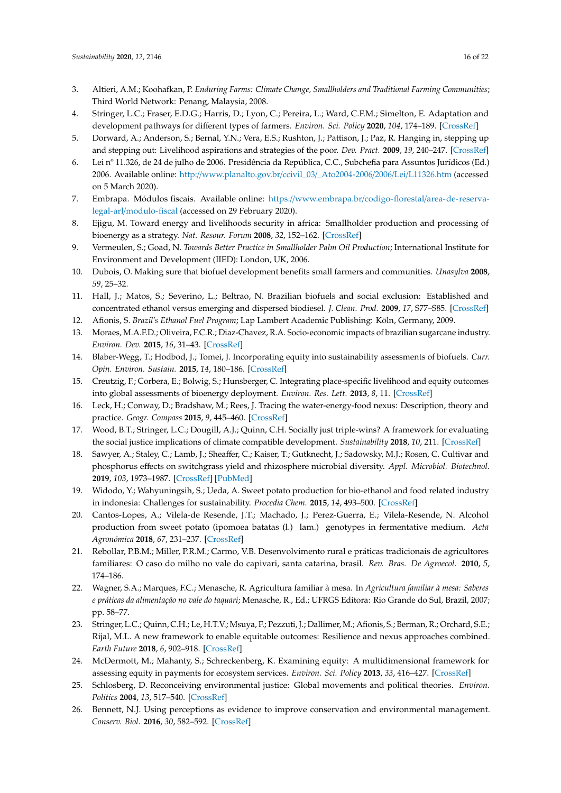- 3. Altieri, A.M.; Koohafkan, P. *Enduring Farms: Climate Change, Smallholders and Traditional Farming Communities*; Third World Network: Penang, Malaysia, 2008.
- 4. Stringer, L.C.; Fraser, E.D.G.; Harris, D.; Lyon, C.; Pereira, L.; Ward, C.F.M.; Simelton, E. Adaptation and development pathways for different types of farmers. *Environ. Sci. Policy* **2020**, *104*, 174–189. [CrossRef]
- 5. Dorward, A.; Anderson, S.; Bernal, Y.N.; Vera, E.S.; Rushton, J.; Pattison, J.; Paz, R. Hanging in, stepping up and stepping out: Livelihood aspirations and strategies of the poor. *Dev. Pract.* **2009**, *19*, 240–247. [CrossRef]
- 6. Lei nº 11.326, de 24 de julho de 2006. Presidência da República, C.C., Subchefia para Assuntos Jurídicos (Ed.) 2006. Available online: http://www.planalto.gov.br/ccivil\_03/\_Ato2004-2006/2006/Lei/L11326.htm (accessed on 5 March 2020).
- 7. Embrapa. Módulos fiscais. Available online: https://www.embrapa.br/codigo-florestal/area-de-reservalegal-arl/modulo-fiscal (accessed on 29 February 2020).
- 8. Ejigu, M. Toward energy and livelihoods security in africa: Smallholder production and processing of bioenergy as a strategy. *Nat. Resour. Forum* **2008**, *32*, 152–162. [CrossRef]
- 9. Vermeulen, S.; Goad, N. *Towards Better Practice in Smallholder Palm Oil Production*; International Institute for Environment and Development (IIED): London, UK, 2006.
- 10. Dubois, O. Making sure that biofuel development benefits small farmers and communities. *Unasylva* **2008**, *59*, 25–32.
- 11. Hall, J.; Matos, S.; Severino, L.; Beltrao, N. Brazilian biofuels and social exclusion: Established and concentrated ethanol versus emerging and dispersed biodiesel. *J. Clean. Prod.* **2009**, *17*, S77–S85. [CrossRef]
- 12. Afionis, S. *Brazil's Ethanol Fuel Program*; Lap Lambert Academic Publishing: Köln, Germany, 2009.
- 13. Moraes, M.A.F.D.; Oliveira, F.C.R.; Diaz-Chavez, R.A. Socio-economic impacts of brazilian sugarcane industry. *Environ. Dev.* **2015**, *16*, 31–43. [CrossRef]
- 14. Blaber-Wegg, T.; Hodbod, J.; Tomei, J. Incorporating equity into sustainability assessments of biofuels. *Curr. Opin. Environ. Sustain.* **2015**, *14*, 180–186. [CrossRef]
- 15. Creutzig, F.; Corbera, E.; Bolwig, S.; Hunsberger, C. Integrating place-specific livelihood and equity outcomes into global assessments of bioenergy deployment. *Environ. Res. Lett.* **2013**, *8*, 11. [CrossRef]
- 16. Leck, H.; Conway, D.; Bradshaw, M.; Rees, J. Tracing the water-energy-food nexus: Description, theory and practice. *Geogr. Compass* **2015**, *9*, 445–460. [CrossRef]
- 17. Wood, B.T.; Stringer, L.C.; Dougill, A.J.; Quinn, C.H. Socially just triple-wins? A framework for evaluating the social justice implications of climate compatible development. *Sustainability* **2018**, *10*, 211. [CrossRef]
- 18. Sawyer, A.; Staley, C.; Lamb, J.; Sheaffer, C.; Kaiser, T.; Gutknecht, J.; Sadowsky, M.J.; Rosen, C. Cultivar and phosphorus effects on switchgrass yield and rhizosphere microbial diversity. *Appl. Microbiol. Biotechnol.* **2019**, *103*, 1973–1987. [CrossRef] [PubMed]
- 19. Widodo, Y.; Wahyuningsih, S.; Ueda, A. Sweet potato production for bio-ethanol and food related industry in indonesia: Challenges for sustainability. *Procedia Chem.* **2015**, *14*, 493–500. [CrossRef]
- 20. Cantos-Lopes, A.; Vilela-de Resende, J.T.; Machado, J.; Perez-Guerra, E.; Vilela-Resende, N. Alcohol production from sweet potato (ipomoea batatas (l.) lam.) genotypes in fermentative medium. *Acta Agronómica* **2018**, *67*, 231–237. [CrossRef]
- 21. Rebollar, P.B.M.; Miller, P.R.M.; Carmo, V.B. Desenvolvimento rural e práticas tradicionais de agricultores familiares: O caso do milho no vale do capivari, santa catarina, brasil. *Rev. Bras. De Agroecol.* **2010**, *5*, 174–186.
- 22. Wagner, S.A.; Marques, F.C.; Menasche, R. Agricultura familiar à mesa. In *Agricultura familiar à mesa: Saberes e práticas da alimentação no vale do taquari*; Menasche, R., Ed.; UFRGS Editora: Rio Grande do Sul, Brazil, 2007; pp. 58–77.
- 23. Stringer, L.C.; Quinn, C.H.; Le, H.T.V.; Msuya, F.; Pezzuti, J.; Dallimer, M.; Afionis, S.; Berman, R.; Orchard, S.E.; Rijal, M.L. A new framework to enable equitable outcomes: Resilience and nexus approaches combined. *Earth Future* **2018**, *6*, 902–918. [CrossRef]
- 24. McDermott, M.; Mahanty, S.; Schreckenberg, K. Examining equity: A multidimensional framework for assessing equity in payments for ecosystem services. *Environ. Sci. Policy* **2013**, *33*, 416–427. [CrossRef]
- 25. Schlosberg, D. Reconceiving environmental justice: Global movements and political theories. *Environ. Politics* **2004**, *13*, 517–540. [CrossRef]
- 26. Bennett, N.J. Using perceptions as evidence to improve conservation and environmental management. *Conserv. Biol.* **2016**, *30*, 582–592. [CrossRef]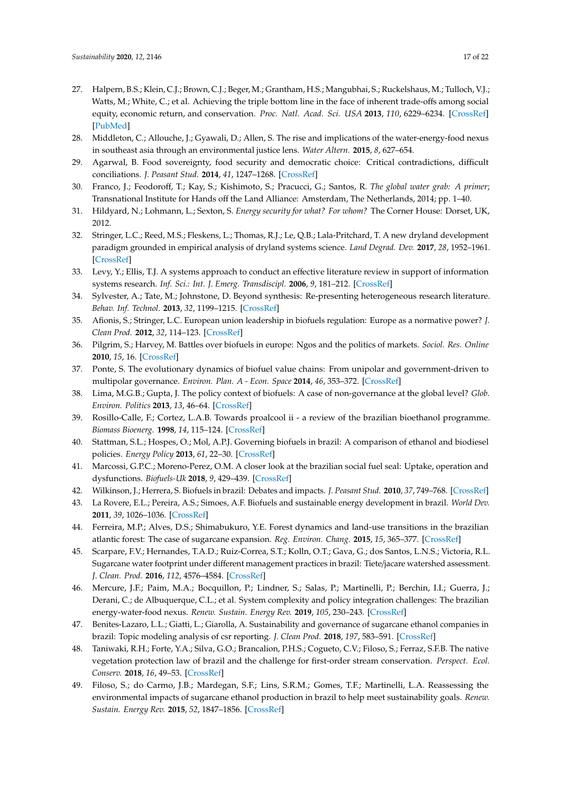- 27. Halpern, B.S.; Klein, C.J.; Brown, C.J.; Beger, M.; Grantham, H.S.; Mangubhai, S.; Ruckelshaus, M.; Tulloch, V.J.; Watts, M.; White, C.; et al. Achieving the triple bottom line in the face of inherent trade-offs among social equity, economic return, and conservation. *Proc. Natl. Acad. Sci. USA* **2013**, *110*, 6229–6234. [CrossRef] [PubMed]
- 28. Middleton, C.; Allouche, J.; Gyawali, D.; Allen, S. The rise and implications of the water-energy-food nexus in southeast asia through an environmental justice lens. *Water Altern.* **2015**, *8*, 627–654.
- 29. Agarwal, B. Food sovereignty, food security and democratic choice: Critical contradictions, difficult conciliations. *J. Peasant Stud.* **2014**, *41*, 1247–1268. [CrossRef]
- 30. Franco, J.; Feodoroff, T.; Kay, S.; Kishimoto, S.; Pracucci, G.; Santos, R. *The global water grab: A primer*; Transnational Institute for Hands off the Land Alliance: Amsterdam, The Netherlands, 2014; pp. 1–40.
- 31. Hildyard, N.; Lohmann, L.; Sexton, S. *Energy security for what? For whom?* The Corner House: Dorset, UK, 2012.
- 32. Stringer, L.C.; Reed, M.S.; Fleskens, L.; Thomas, R.J.; Le, Q.B.; Lala-Pritchard, T. A new dryland development paradigm grounded in empirical analysis of dryland systems science. *Land Degrad. Dev.* **2017**, *28*, 1952–1961. [CrossRef]
- 33. Levy, Y.; Ellis, T.J. A systems approach to conduct an effective literature review in support of information systems research. *Inf. Sci.: Int. J. Emerg. Transdiscipl.* **2006**, *9*, 181–212. [CrossRef]
- 34. Sylvester, A.; Tate, M.; Johnstone, D. Beyond synthesis: Re-presenting heterogeneous research literature. *Behav. Inf. Technol.* **2013**, *32*, 1199–1215. [CrossRef]
- 35. Afionis, S.; Stringer, L.C. European union leadership in biofuels regulation: Europe as a normative power? *J. Clean Prod.* **2012**, *32*, 114–123. [CrossRef]
- 36. Pilgrim, S.; Harvey, M. Battles over biofuels in europe: Ngos and the politics of markets. *Sociol. Res. Online* **2010**, *15*, 16. [CrossRef]
- 37. Ponte, S. The evolutionary dynamics of biofuel value chains: From unipolar and government-driven to multipolar governance. *Environ. Plan. A - Econ. Space* **2014**, *46*, 353–372. [CrossRef]
- 38. Lima, M.G.B.; Gupta, J. The policy context of biofuels: A case of non-governance at the global level? *Glob. Environ. Politics* **2013**, *13*, 46–64. [CrossRef]
- 39. Rosillo-Calle, F.; Cortez, L.A.B. Towards proalcool ii a review of the brazilian bioethanol programme. *Biomass Bioenerg.* **1998**, *14*, 115–124. [CrossRef]
- 40. Stattman, S.L.; Hospes, O.; Mol, A.P.J. Governing biofuels in brazil: A comparison of ethanol and biodiesel policies. *Energy Policy* **2013**, *61*, 22–30. [CrossRef]
- 41. Marcossi, G.P.C.; Moreno-Perez, O.M. A closer look at the brazilian social fuel seal: Uptake, operation and dysfunctions. *Biofuels-Uk* **2018**, *9*, 429–439. [CrossRef]
- 42. Wilkinson, J.; Herrera, S. Biofuels in brazil: Debates and impacts. *J. Peasant Stud.* **2010**, *37*, 749–768. [CrossRef]
- 43. La Rovere, E.L.; Pereira, A.S.; Simoes, A.F. Biofuels and sustainable energy development in brazil. *World Dev.* **2011**, *39*, 1026–1036. [CrossRef]
- 44. Ferreira, M.P.; Alves, D.S.; Shimabukuro, Y.E. Forest dynamics and land-use transitions in the brazilian atlantic forest: The case of sugarcane expansion. *Reg. Environ. Chang.* **2015**, *15*, 365–377. [CrossRef]
- 45. Scarpare, F.V.; Hernandes, T.A.D.; Ruiz-Correa, S.T.; Kolln, O.T.; Gava, G.; dos Santos, L.N.S.; Victoria, R.L. Sugarcane water footprint under different management practices in brazil: Tiete/jacare watershed assessment. *J. Clean. Prod.* **2016**, *112*, 4576–4584. [CrossRef]
- 46. Mercure, J.F.; Paim, M.A.; Bocquillon, P.; Lindner, S.; Salas, P.; Martinelli, P.; Berchin, I.I.; Guerra, J.; Derani, C.; de Albuquerque, C.L.; et al. System complexity and policy integration challenges: The brazilian energy-water-food nexus. *Renew. Sustain. Energy Rev.* **2019**, *105*, 230–243. [CrossRef]
- 47. Benites-Lazaro, L.L.; Giatti, L.; Giarolla, A. Sustainability and governance of sugarcane ethanol companies in brazil: Topic modeling analysis of csr reporting. *J. Clean Prod.* **2018**, *197*, 583–591. [CrossRef]
- 48. Taniwaki, R.H.; Forte, Y.A.; Silva, G.O.; Brancalion, P.H.S.; Cogueto, C.V.; Filoso, S.; Ferraz, S.F.B. The native vegetation protection law of brazil and the challenge for first-order stream conservation. *Perspect. Ecol. Conserv.* **2018**, *16*, 49–53. [CrossRef]
- 49. Filoso, S.; do Carmo, J.B.; Mardegan, S.F.; Lins, S.R.M.; Gomes, T.F.; Martinelli, L.A. Reassessing the environmental impacts of sugarcane ethanol production in brazil to help meet sustainability goals. *Renew. Sustain. Energy Rev.* **2015**, *52*, 1847–1856. [CrossRef]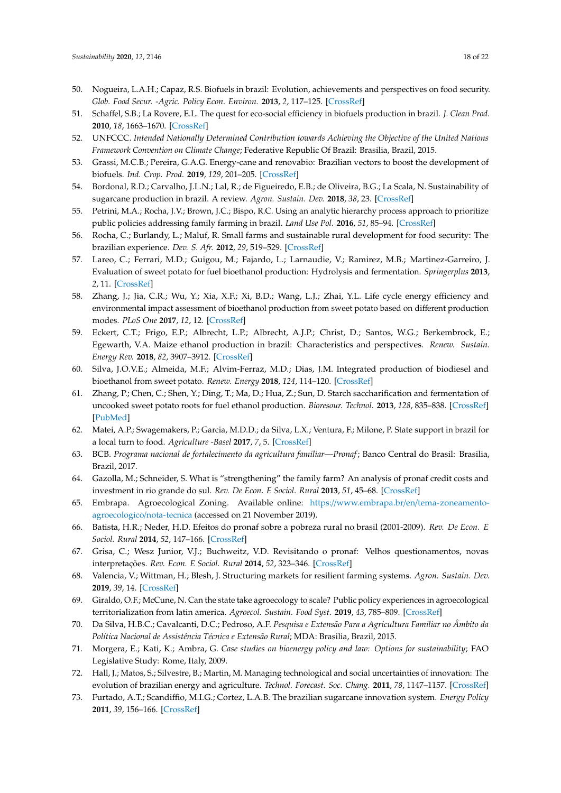- 50. Nogueira, L.A.H.; Capaz, R.S. Biofuels in brazil: Evolution, achievements and perspectives on food security. *Glob. Food Secur. -Agric. Policy Econ. Environ.* **2013**, *2*, 117–125. [CrossRef]
- 51. Schaffel, S.B.; La Rovere, E.L. The quest for eco-social efficiency in biofuels production in brazil. *J. Clean Prod.* **2010**, *18*, 1663–1670. [CrossRef]
- 52. UNFCCC. *Intended Nationally Determined Contribution towards Achieving the Objective of the United Nations Framework Convention on Climate Change*; Federative Republic Of Brazil: Brasilia, Brazil, 2015.
- 53. Grassi, M.C.B.; Pereira, G.A.G. Energy-cane and renovabio: Brazilian vectors to boost the development of biofuels. *Ind. Crop. Prod.* **2019**, *129*, 201–205. [CrossRef]
- 54. Bordonal, R.D.; Carvalho, J.L.N.; Lal, R.; de Figueiredo, E.B.; de Oliveira, B.G.; La Scala, N. Sustainability of sugarcane production in brazil. A review. *Agron. Sustain. Dev.* **2018**, *38*, 23. [CrossRef]
- 55. Petrini, M.A.; Rocha, J.V.; Brown, J.C.; Bispo, R.C. Using an analytic hierarchy process approach to prioritize public policies addressing family farming in brazil. *Land Use Pol.* **2016**, *51*, 85–94. [CrossRef]
- 56. Rocha, C.; Burlandy, L.; Maluf, R. Small farms and sustainable rural development for food security: The brazilian experience. *Dev. S. Afr.* **2012**, *29*, 519–529. [CrossRef]
- 57. Lareo, C.; Ferrari, M.D.; Guigou, M.; Fajardo, L.; Larnaudie, V.; Ramirez, M.B.; Martinez-Garreiro, J. Evaluation of sweet potato for fuel bioethanol production: Hydrolysis and fermentation. *Springerplus* **2013**, *2*, 11. [CrossRef]
- 58. Zhang, J.; Jia, C.R.; Wu, Y.; Xia, X.F.; Xi, B.D.; Wang, L.J.; Zhai, Y.L. Life cycle energy efficiency and environmental impact assessment of bioethanol production from sweet potato based on different production modes. *PLoS One* **2017**, *12*, 12. [CrossRef]
- 59. Eckert, C.T.; Frigo, E.P.; Albrecht, L.P.; Albrecht, A.J.P.; Christ, D.; Santos, W.G.; Berkembrock, E.; Egewarth, V.A. Maize ethanol production in brazil: Characteristics and perspectives. *Renew. Sustain. Energy Rev.* **2018**, *82*, 3907–3912. [CrossRef]
- 60. Silva, J.O.V.E.; Almeida, M.F.; Alvim-Ferraz, M.D.; Dias, J.M. Integrated production of biodiesel and bioethanol from sweet potato. *Renew. Energy* **2018**, *124*, 114–120. [CrossRef]
- 61. Zhang, P.; Chen, C.; Shen, Y.; Ding, T.; Ma, D.; Hua, Z.; Sun, D. Starch saccharification and fermentation of uncooked sweet potato roots for fuel ethanol production. *Bioresour. Technol.* **2013**, *128*, 835–838. [CrossRef] [PubMed]
- 62. Matei, A.P.; Swagemakers, P.; Garcia, M.D.D.; da Silva, L.X.; Ventura, F.; Milone, P. State support in brazil for a local turn to food. *Agriculture -Basel* **2017**, *7*, 5. [CrossRef]
- 63. BCB. *Programa nacional de fortalecimento da agricultura familiar—Pronaf*; Banco Central do Brasil: Brasilia, Brazil, 2017.
- 64. Gazolla, M.; Schneider, S. What is "strengthening" the family farm? An analysis of pronaf credit costs and investment in rio grande do sul. *Rev. De Econ. E Sociol. Rural* **2013**, *51*, 45–68. [CrossRef]
- 65. Embrapa. Agroecological Zoning. Available online: https://www.embrapa.br/en/tema-zoneamentoagroecologico/nota-tecnica (accessed on 21 November 2019).
- 66. Batista, H.R.; Neder, H.D. Efeitos do pronaf sobre a pobreza rural no brasil (2001-2009). *Rev. De Econ. E Sociol. Rural* **2014**, *52*, 147–166. [CrossRef]
- 67. Grisa, C.; Wesz Junior, V.J.; Buchweitz, V.D. Revisitando o pronaf: Velhos questionamentos, novas interpretações. *Rev. Econ. E Sociol. Rural* **2014**, *52*, 323–346. [CrossRef]
- 68. Valencia, V.; Wittman, H.; Blesh, J. Structuring markets for resilient farming systems. *Agron. Sustain. Dev.* **2019**, *39*, 14. [CrossRef]
- 69. Giraldo, O.F.; McCune, N. Can the state take agroecology to scale? Public policy experiences in agroecological territorialization from latin america. *Agroecol. Sustain. Food Syst.* **2019**, *43*, 785–809. [CrossRef]
- 70. Da Silva, H.B.C.; Cavalcanti, D.C.; Pedroso, A.F. *Pesquisa e Extensão Para a Agricultura Familiar no Âmbito da Política Nacional de Assistência Técnica e Extensão Rural*; MDA: Brasilia, Brazil, 2015.
- 71. Morgera, E.; Kati, K.; Ambra, G. *Case studies on bioenergy policy and law: Options for sustainability*; FAO Legislative Study: Rome, Italy, 2009.
- 72. Hall, J.; Matos, S.; Silvestre, B.; Martin, M. Managing technological and social uncertainties of innovation: The evolution of brazilian energy and agriculture. *Technol. Forecast. Soc. Chang.* **2011**, *78*, 1147–1157. [CrossRef]
- 73. Furtado, A.T.; Scandiffio, M.I.G.; Cortez, L.A.B. The brazilian sugarcane innovation system. *Energy Policy* **2011**, *39*, 156–166. [CrossRef]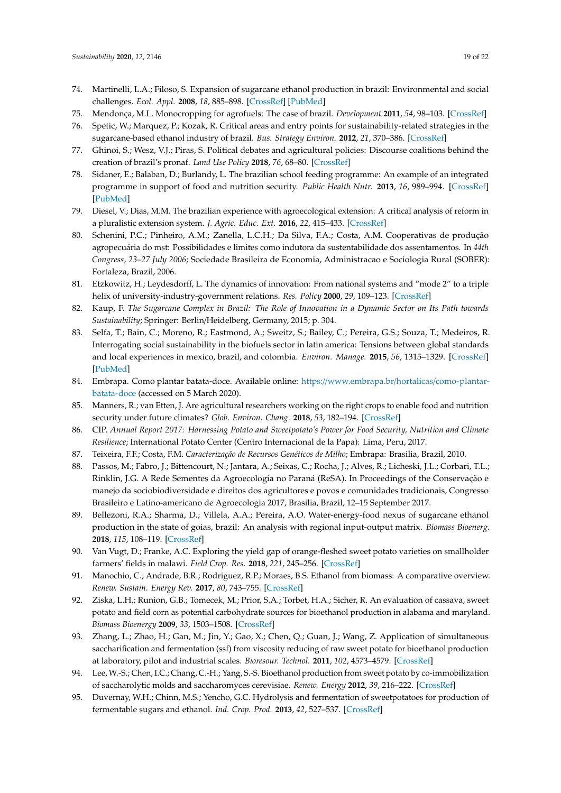- 74. Martinelli, L.A.; Filoso, S. Expansion of sugarcane ethanol production in brazil: Environmental and social challenges. *Ecol. Appl.* **2008**, *18*, 885–898. [CrossRef] [PubMed]
- 75. Mendonça, M.L. Monocropping for agrofuels: The case of brazil. *Development* **2011**, *54*, 98–103. [CrossRef]
- 76. Spetic, W.; Marquez, P.; Kozak, R. Critical areas and entry points for sustainability-related strategies in the sugarcane-based ethanol industry of brazil. *Bus. Strategy Environ.* **2012**, *21*, 370–386. [CrossRef]
- 77. Ghinoi, S.; Wesz, V.J.; Piras, S. Political debates and agricultural policies: Discourse coalitions behind the creation of brazil's pronaf. *Land Use Policy* **2018**, *76*, 68–80. [CrossRef]
- 78. Sidaner, E.; Balaban, D.; Burlandy, L. The brazilian school feeding programme: An example of an integrated programme in support of food and nutrition security. *Public Health Nutr.* **2013**, *16*, 989–994. [CrossRef] [PubMed]
- 79. Diesel, V.; Dias, M.M. The brazilian experience with agroecological extension: A critical analysis of reform in a pluralistic extension system. *J. Agric. Educ. Ext.* **2016**, *22*, 415–433. [CrossRef]
- 80. Schenini, P.C.; Pinheiro, A.M.; Zanella, L.C.H.; Da Silva, F.A.; Costa, A.M. Cooperativas de produção agropecuária do mst: Possibilidades e limites como indutora da sustentabilidade dos assentamentos. In *44th Congress, 23–27 July 2006*; Sociedade Brasileira de Economia, Administracao e Sociologia Rural (SOBER): Fortaleza, Brazil, 2006.
- 81. Etzkowitz, H.; Leydesdorff, L. The dynamics of innovation: From national systems and "mode 2" to a triple helix of university-industry-government relations. *Res. Policy* **2000**, *29*, 109–123. [CrossRef]
- 82. Kaup, F. *The Sugarcane Complex in Brazil: The Role of Innovation in a Dynamic Sector on Its Path towards Sustainability*; Springer: Berlin/Heidelberg, Germany, 2015; p. 304.
- 83. Selfa, T.; Bain, C.; Moreno, R.; Eastmond, A.; Sweitz, S.; Bailey, C.; Pereira, G.S.; Souza, T.; Medeiros, R. Interrogating social sustainability in the biofuels sector in latin america: Tensions between global standards and local experiences in mexico, brazil, and colombia. *Environ. Manage.* **2015**, *56*, 1315–1329. [CrossRef] [PubMed]
- 84. Embrapa. Como plantar batata-doce. Available online: https://www.embrapa.br/hortalicas/como-plantarbatata-doce (accessed on 5 March 2020).
- 85. Manners, R.; van Etten, J. Are agricultural researchers working on the right crops to enable food and nutrition security under future climates? *Glob. Environ. Chang.* **2018**, *53*, 182–194. [CrossRef]
- 86. CIP. *Annual Report 2017: Harnessing Potato and Sweetpotato's Power for Food Security, Nutrition and Climate Resilience*; International Potato Center (Centro Internacional de la Papa): Lima, Peru, 2017.
- 87. Teixeira, F.F.; Costa, F.M. *Caracterização de Recursos Genéticos de Milho*; Embrapa: Brasilia, Brazil, 2010.
- 88. Passos, M.; Fabro, J.; Bittencourt, N.; Jantara, A.; Seixas, C.; Rocha, J.; Alves, R.; Licheski, J.L.; Corbari, T.L.; Rinklin, J.G. A Rede Sementes da Agroecologia no Paraná (ReSA). In Proceedings of the Conservação e manejo da sociobiodiversidade e direitos dos agricultores e povos e comunidades tradicionais, Congresso Brasileiro e Latino-americano de Agroecologia 2017, Brasília, Brazil, 12–15 September 2017.
- 89. Bellezoni, R.A.; Sharma, D.; Villela, A.A.; Pereira, A.O. Water-energy-food nexus of sugarcane ethanol production in the state of goias, brazil: An analysis with regional input-output matrix. *Biomass Bioenerg.* **2018**, *115*, 108–119. [CrossRef]
- 90. Van Vugt, D.; Franke, A.C. Exploring the yield gap of orange-fleshed sweet potato varieties on smallholder farmers' fields in malawi. *Field Crop. Res.* **2018**, *221*, 245–256. [CrossRef]
- 91. Manochio, C.; Andrade, B.R.; Rodriguez, R.P.; Moraes, B.S. Ethanol from biomass: A comparative overview. *Renew. Sustain. Energy Rev.* **2017**, *80*, 743–755. [CrossRef]
- 92. Ziska, L.H.; Runion, G.B.; Tomecek, M.; Prior, S.A.; Torbet, H.A.; Sicher, R. An evaluation of cassava, sweet potato and field corn as potential carbohydrate sources for bioethanol production in alabama and maryland. *Biomass Bioenergy* **2009**, *33*, 1503–1508. [CrossRef]
- 93. Zhang, L.; Zhao, H.; Gan, M.; Jin, Y.; Gao, X.; Chen, Q.; Guan, J.; Wang, Z. Application of simultaneous saccharification and fermentation (ssf) from viscosity reducing of raw sweet potato for bioethanol production at laboratory, pilot and industrial scales. *Bioresour. Technol.* **2011**, *102*, 4573–4579. [CrossRef]
- 94. Lee, W.-S.; Chen, I.C.; Chang, C.-H.; Yang, S.-S. Bioethanol production from sweet potato by co-immobilization of saccharolytic molds and saccharomyces cerevisiae. *Renew. Energy* **2012**, *39*, 216–222. [CrossRef]
- 95. Duvernay, W.H.; Chinn, M.S.; Yencho, G.C. Hydrolysis and fermentation of sweetpotatoes for production of fermentable sugars and ethanol. *Ind. Crop. Prod.* **2013**, *42*, 527–537. [CrossRef]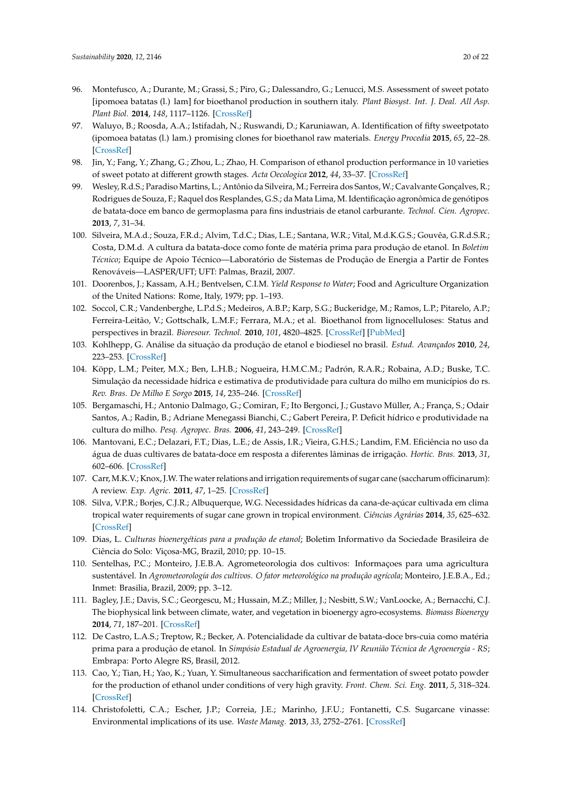- 96. Montefusco, A.; Durante, M.; Grassi, S.; Piro, G.; Dalessandro, G.; Lenucci, M.S. Assessment of sweet potato [ipomoea batatas (l.) lam] for bioethanol production in southern italy. *Plant Biosyst. Int. J. Deal. All Asp. Plant Biol.* **2014**, *148*, 1117–1126. [CrossRef]
- 97. Waluyo, B.; Roosda, A.A.; Istifadah, N.; Ruswandi, D.; Karuniawan, A. Identification of fifty sweetpotato (ipomoea batatas (l.) lam.) promising clones for bioethanol raw materials. *Energy Procedia* **2015**, *65*, 22–28. [CrossRef]
- 98. Jin, Y.; Fang, Y.; Zhang, G.; Zhou, L.; Zhao, H. Comparison of ethanol production performance in 10 varieties of sweet potato at different growth stages. *Acta Oecologica* **2012**, *44*, 33–37. [CrossRef]
- 99. Wesley, R.d.S.; Paradiso Martins, L.; Antônio da Silveira, M.; Ferreira dos Santos, W.; Cavalvante Gonçalves, R.; Rodrigues de Souza, F.; Raquel dos Resplandes, G.S.; da Mata Lima, M. Identificação agronômica de genótipos de batata-doce em banco de germoplasma para fins industriais de etanol carburante. *Technol. Cien. Agropec.* **2013**, *7*, 31–34.
- 100. Silveira, M.A.d.; Souza, F.R.d.; Alvim, T.d.C.; Dias, L.E.; Santana, W.R.; Vital, M.d.K.G.S.; Gouvêa, G.R.d.S.R.; Costa, D.M.d. A cultura da batata-doce como fonte de matéria prima para produção de etanol. In *Boletim Técnico*; Equipe de Apoio Técnico—Laboratório de Sistemas de Produção de Energia a Partir de Fontes Renováveis—LASPER/UFT; UFT: Palmas, Brazil, 2007.
- 101. Doorenbos, J.; Kassam, A.H.; Bentvelsen, C.I.M. *Yield Response to Water*; Food and Agriculture Organization of the United Nations: Rome, Italy, 1979; pp. 1–193.
- 102. Soccol, C.R.; Vandenberghe, L.P.d.S.; Medeiros, A.B.P.; Karp, S.G.; Buckeridge, M.; Ramos, L.P.; Pitarelo, A.P.; Ferreira-Leitão, V.; Gottschalk, L.M.F.; Ferrara, M.A.; et al. Bioethanol from lignocelluloses: Status and perspectives in brazil. *Bioresour. Technol.* **2010**, *101*, 4820–4825. [CrossRef] [PubMed]
- 103. Kohlhepp, G. Análise da situação da produção de etanol e biodiesel no brasil. *Estud. Avançados* **2010**, *24*, 223–253. [CrossRef]
- 104. Köpp, L.M.; Peiter, M.X.; Ben, L.H.B.; Nogueira, H.M.C.M.; Padrón, R.A.R.; Robaina, A.D.; Buske, T.C. Simulação da necessidade hídrica e estimativa de produtividade para cultura do milho em municípios do rs. *Rev. Bras. De Milho E Sorgo* **2015**, *14*, 235–246. [CrossRef]
- 105. Bergamaschi, H.; Antonio Dalmago, G.; Comiran, F.; Ito Bergonci, J.; Gustavo Müller, A.; França, S.; Odair Santos, A.; Radin, B.; Adriane Menegassi Bianchi, C.; Gabert Pereira, P. Deficit hídrico e produtividade na cultura do milho. *Pesq. Agropec. Bras.* **2006**, *41*, 243–249. [CrossRef]
- 106. Mantovani, E.C.; Delazari, F.T.; Dias, L.E.; de Assis, I.R.; Vieira, G.H.S.; Landim, F.M. Eficiência no uso da água de duas cultivares de batata-doce em resposta a diferentes lâminas de irrigação. *Hortic. Bras.* **2013**, *31*, 602–606. [CrossRef]
- 107. Carr, M.K.V.; Knox, J.W. The water relations and irrigation requirements of sugar cane (saccharum officinarum): A review. *Exp. Agric.* **2011**, *47*, 1–25. [CrossRef]
- 108. Silva, V.P.R.; Borjes, C.J.R.; Albuquerque, W.G. Necessidades hídricas da cana-de-açúcar cultivada em clima tropical water requirements of sugar cane grown in tropical environment. *Ciências Agrárias* **2014**, *35*, 625–632. [CrossRef]
- 109. Dias, L. *Culturas bioenergéticas para a produção de etanol*; Boletim Informativo da Sociedade Brasileira de Ciência do Solo: Viçosa-MG, Brazil, 2010; pp. 10–15.
- 110. Sentelhas, P.C.; Monteiro, J.E.B.A. Agrometeorologia dos cultivos: Informaçoes para uma agricultura sustentável. In *Agrometeorología dos cultivos. O fator meteorológico na produção agrícola*; Monteiro, J.E.B.A., Ed.; Inmet: Brasilia, Brazil, 2009; pp. 3–12.
- 111. Bagley, J.E.; Davis, S.C.; Georgescu, M.; Hussain, M.Z.; Miller, J.; Nesbitt, S.W.; VanLoocke, A.; Bernacchi, C.J. The biophysical link between climate, water, and vegetation in bioenergy agro-ecosystems. *Biomass Bioenergy* **2014**, *71*, 187–201. [CrossRef]
- 112. De Castro, L.A.S.; Treptow, R.; Becker, A. Potencialidade da cultivar de batata-doce brs-cuia como matéria prima para a produção de etanol. In *Simpósio Estadual de Agroenergia, IV Reunião Técnica de Agroenergia - RS*; Embrapa: Porto Alegre RS, Brasil, 2012.
- 113. Cao, Y.; Tian, H.; Yao, K.; Yuan, Y. Simultaneous saccharification and fermentation of sweet potato powder for the production of ethanol under conditions of very high gravity. *Front. Chem. Sci. Eng.* **2011**, *5*, 318–324. [CrossRef]
- 114. Christofoletti, C.A.; Escher, J.P.; Correia, J.E.; Marinho, J.F.U.; Fontanetti, C.S. Sugarcane vinasse: Environmental implications of its use. *Waste Manag.* **2013**, *33*, 2752–2761. [CrossRef]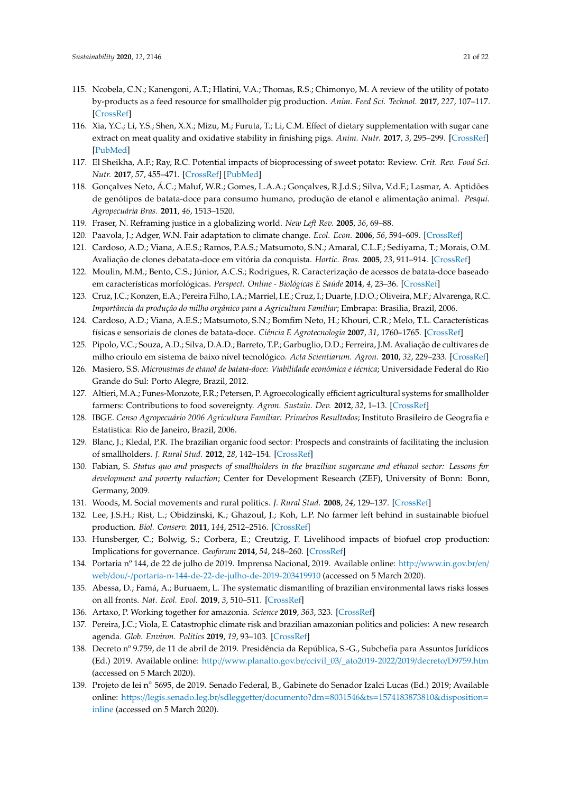- 115. Ncobela, C.N.; Kanengoni, A.T.; Hlatini, V.A.; Thomas, R.S.; Chimonyo, M. A review of the utility of potato by-products as a feed resource for smallholder pig production. *Anim. Feed Sci. Technol.* **2017**, *227*, 107–117. [CrossRef]
- 116. Xia, Y.C.; Li, Y.S.; Shen, X.X.; Mizu, M.; Furuta, T.; Li, C.M. Effect of dietary supplementation with sugar cane extract on meat quality and oxidative stability in finishing pigs. *Anim. Nutr.* **2017**, *3*, 295–299. [CrossRef] [PubMed]
- 117. El Sheikha, A.F.; Ray, R.C. Potential impacts of bioprocessing of sweet potato: Review. *Crit. Rev. Food Sci. Nutr.* **2017**, *57*, 455–471. [CrossRef] [PubMed]
- 118. Gonçalves Neto, Á.C.; Maluf, W.R.; Gomes, L.A.A.; Gonçalves, R.J.d.S.; Silva, V.d.F.; Lasmar, A. Aptidões de genótipos de batata-doce para consumo humano, produção de etanol e alimentação animal. *Pesqui. Agropecuária Bras.* **2011**, *46*, 1513–1520.
- 119. Fraser, N. Reframing justice in a globalizing world. *New Left Rev.* **2005**, *36*, 69–88.
- 120. Paavola, J.; Adger, W.N. Fair adaptation to climate change. *Ecol. Econ.* **2006**, *56*, 594–609. [CrossRef]
- 121. Cardoso, A.D.; Viana, A.E.S.; Ramos, P.A.S.; Matsumoto, S.N.; Amaral, C.L.F.; Sediyama, T.; Morais, O.M. Avaliação de clones debatata-doce em vitória da conquista. *Hortic. Bras.* **2005**, *23*, 911–914. [CrossRef]
- 122. Moulin, M.M.; Bento, C.S.; Júnior, A.C.S.; Rodrigues, R. Caracterização de acessos de batata-doce baseado em características morfológicas. *Perspect. Online - Biológicas E Saúde* **2014**, *4*, 23–36. [CrossRef]
- 123. Cruz, J.C.; Konzen, E.A.; Pereira Filho, I.A.; Marriel, I.E.; Cruz, I.; Duarte, J.D.O.; Oliveira, M.F.; Alvarenga, R.C. *Importância da produção do milho orgânico para a Agricultura Familiar*; Embrapa: Brasilia, Brazil, 2006.
- 124. Cardoso, A.D.; Viana, A.E.S.; Matsumoto, S.N.; Bomfim Neto, H.; Khouri, C.R.; Melo, T.L. Características físicas e sensoriais de clones de batata-doce. *Ciência E Agrotecnologia* **2007**, *31*, 1760–1765. [CrossRef]
- 125. Pipolo, V.C.; Souza, A.D.; Silva, D.A.D.; Barreto, T.P.; Garbuglio, D.D.; Ferreira, J.M. Avaliação de cultivares de milho crioulo em sistema de baixo nível tecnológico. *Acta Scientiarum. Agron.* **2010**, *32*, 229–233. [CrossRef]
- 126. Masiero, S.S. *Microusinas de etanol de batata-doce: Viabilidade econômica e técnica*; Universidade Federal do Rio Grande do Sul: Porto Alegre, Brazil, 2012.
- 127. Altieri, M.A.; Funes-Monzote, F.R.; Petersen, P. Agroecologically efficient agricultural systems for smallholder farmers: Contributions to food sovereignty. *Agron. Sustain. Dev.* **2012**, *32*, 1–13. [CrossRef]
- 128. IBGE. *Censo Agropecuário 2006 Agricultura Familiar: Primeiros Resultados*; Instituto Brasileiro de Geografia e Estatistica: Rio de Janeiro, Brazil, 2006.
- 129. Blanc, J.; Kledal, P.R. The brazilian organic food sector: Prospects and constraints of facilitating the inclusion of smallholders. *J. Rural Stud.* **2012**, *28*, 142–154. [CrossRef]
- 130. Fabian, S. *Status quo and prospects of smallholders in the brazilian sugarcane and ethanol sector: Lessons for development and poverty reduction*; Center for Development Research (ZEF), University of Bonn: Bonn, Germany, 2009.
- 131. Woods, M. Social movements and rural politics. *J. Rural Stud.* **2008**, *24*, 129–137. [CrossRef]
- 132. Lee, J.S.H.; Rist, L.; Obidzinski, K.; Ghazoul, J.; Koh, L.P. No farmer left behind in sustainable biofuel production. *Biol. Conserv.* **2011**, *144*, 2512–2516. [CrossRef]
- 133. Hunsberger, C.; Bolwig, S.; Corbera, E.; Creutzig, F. Livelihood impacts of biofuel crop production: Implications for governance. *Geoforum* **2014**, *54*, 248–260. [CrossRef]
- 134. Portaria nº 144, de 22 de julho de 2019. Imprensa Nacional, 2019. Available online: http://www.in.gov.br/en/ web/dou/-/portaria-n-144-de-22-de-julho-de-2019-203419910 (accessed on 5 March 2020).
- 135. Abessa, D.; Famá, A.; Buruaem, L. The systematic dismantling of brazilian environmental laws risks losses on all fronts. *Nat. Ecol. Evol.* **2019**, *3*, 510–511. [CrossRef]
- 136. Artaxo, P. Working together for amazonia. *Science* **2019**, *363*, 323. [CrossRef]
- 137. Pereira, J.C.; Viola, E. Catastrophic climate risk and brazilian amazonian politics and policies: A new research agenda. *Glob. Environ. Politics* **2019**, *19*, 93–103. [CrossRef]
- 138. Decreto nº 9.759, de 11 de abril de 2019. Presidência da República, S.-G., Subchefia para Assuntos Jurídicos (Ed.) 2019. Available online: http://www.planalto.gov.br/ccivil\_03/\_ato2019-2022/2019/decreto/D9759.htm (accessed on 5 March 2020).
- 139. Projeto de lei n◦ 5695, de 2019. Senado Federal, B., Gabinete do Senador Izalci Lucas (Ed.) 2019; Available online: https://legis.senado.leg.br/sdleggetter/documento?dm=8031546&ts=1574183873810&disposition= inline (accessed on 5 March 2020).